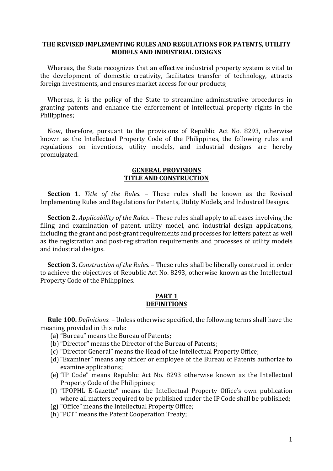## **THE REVISED IMPLEMENTING RULES AND REGULATIONS FOR PATENTS, UTILITY MODELS AND INDUSTRIAL DESIGNS**

 Whereas, the State recognizes that an effective industrial property system is vital to the development of domestic creativity, facilitates transfer of technology, attracts foreign investments, and ensures market access for our products;

 Whereas, it is the policy of the State to streamline administrative procedures in granting patents and enhance the enforcement of intellectual property rights in the Philippines;

 Now, therefore, pursuant to the provisions of Republic Act No. 8293, otherwise known as the Intellectual Property Code of the Philippines, the following rules and regulations on inventions, utility models, and industrial designs are hereby promulgated.

#### **GENERAL PROVISIONS TITLE AND CONSTRUCTION**

 **Section 1.** *Title of the Rules.* – These rules shall be known as the Revised Implementing Rules and Regulations for Patents, Utility Models, and Industrial Designs.

 **Section 2.** *Applicability of the Rules.* – These rules shall apply to all cases involving the filing and examination of patent, utility model, and industrial design applications, including the grant and post-grant requirements and processes for letters patent as well as the registration and post-registration requirements and processes of utility models and industrial designs.

 **Section 3.** *Construction of the Rules.* – These rules shall be liberally construed in order to achieve the objectives of Republic Act No. 8293, otherwise known as the Intellectual Property Code of the Philippines.

#### **PART 1 DEFINITIONS**

 **Rule 100.** *Definitions.* – Unless otherwise specified, the following terms shall have the meaning provided in this rule:

- (a) "Bureau" means the Bureau of Patents;
- (b)"Director" means the Director of the Bureau of Patents;
- (c) "Director General" means the Head of the Intellectual Property Office;
- (d)"Examiner" means any officer or employee of the Bureau of Patents authorize to examine applications;
- (e) "IP Code" means Republic Act No. 8293 otherwise known as the Intellectual Property Code of the Philippines;
- (f) "IPOPHL E-Gazette" means the Intellectual Property Office's own publication where all matters required to be published under the IP Code shall be published;
- (g) "Office" means the Intellectual Property Office;
- (h)"PCT" means the Patent Cooperation Treaty;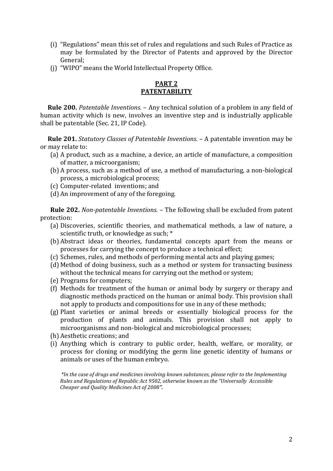- (i) "Regulations" mean this set of rules and regulations and such Rules of Practice as may be formulated by the Director of Patents and approved by the Director General;
- (j) "WIPO" means the World Intellectual Property Office.

# **PART 2 PATENTABILITY**

 **Rule 200.** *Patentable Inventions.* – Any technical solution of a problem in any field of human activity which is new, involves an inventive step and is industrially applicable shall be patentable (Sec. 21, IP Code).

 **Rule 201.** *Statutory Classes of Patentable Inventions.* – A patentable invention may be or may relate to:

- (a) A product, such as a machine, a device, an article of manufacture, a composition of matter, a microorganism;
- (b) A process, such as a method of use, a method of manufacturing, a non-biological process, a microbiological process;
- (c) Computer-related inventions; and
- (d) An improvement of any of the foregoing.

**Rule 202.** *Non-patentable Inventions.* – The following shall be excluded from patent protection:

- (a) Discoveries, scientific theories, and mathematical methods, a law of nature, a scientific truth, or knowledge as such; \*
- (b) Abstract ideas or theories, fundamental concepts apart from the means or processes for carrying the concept to produce a technical effect;
- (c) Schemes, rules, and methods of performing mental acts and playing games;
- (d) Method of doing business, such as a method or system for transacting business without the technical means for carrying out the method or system;
- (e) Programs for computers;
- (f) Methods for treatment of the human or animal body by surgery or therapy and diagnostic methods practiced on the human or animal body. This provision shall not apply to products and compositions for use in any of these methods;
- (g) Plant varieties or animal breeds or essentially biological process for the production of plants and animals. This provision shall not apply to microorganisms and non-biological and microbiological processes;
- (h) Aesthetic creations; and
- (i) Anything which is contrary to public order, health, welfare, or morality, or process for cloning or modifying the germ line genetic identity of humans or animals or uses of the human embryo.

*\*In the case of drugs and medicines involving known substances, please refer to the Implementing Rules and Regulations of Republic Act 9502, otherwise known as the "Universally Accessible Cheaper and Quality Medicines Act of 2008".*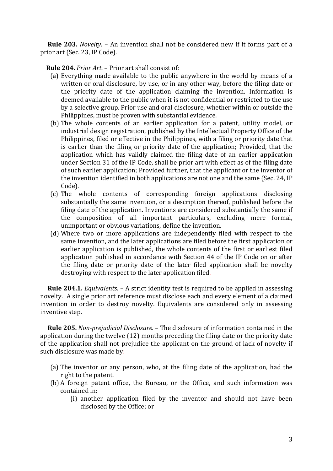**Rule 203.** *Novelty.* – An invention shall not be considered new if it forms part of a prior art (Sec. 23, IP Code).

 **Rule 204.** *Prior Art.* – Prior art shall consist of:

- (a) Everything made available to the public anywhere in the world by means of a written or oral disclosure, by use, or in any other way, before the filing date or the priority date of the application claiming the invention. Information is deemed available to the public when it is not confidential or restricted to the use by a selective group. Prior use and oral disclosure, whether within or outside the Philippines, must be proven with substantial evidence.
- (b) The whole contents of an earlier application for a patent, utility model, or industrial design registration, published by the Intellectual Property Office of the Philippines, filed or effective in the Philippines, with a filing or priority date that is earlier than the filing or priority date of the application; Provided, that the application which has validly claimed the filing date of an earlier application under Section 31 of the IP Code, shall be prior art with effect as of the filing date of such earlier application; Provided further, that the applicant or the inventor of the invention identified in both applications are not one and the same (Sec. 24, IP Code).
- (c) The whole contents of corresponding foreign applications disclosing substantially the same invention, or a description thereof, published before the filing date of the application. Inventions are considered substantially the same if the composition of all important particulars, excluding mere formal, unimportant or obvious variations, define the invention.
- (d) Where two or more applications are independently filed with respect to the same invention, and the later applications are filed before the first application or earlier application is published, the whole contents of the first or earliest filed application published in accordance with Section 44 of the IP Code on or after the filing date or priority date of the later filed application shall be novelty destroying with respect to the later application filed.

 **Rule 204.1.** *Equivalents.* – A strict identity test is required to be applied in assessing novelty. A single prior art reference must disclose each and every element of a claimed invention in order to destroy novelty. Equivalents are considered only in assessing inventive step.

 **Rule 205.** *Non-prejudicial Disclosure.* – The disclosure of information contained in the application during the twelve (12) months preceding the filing date or the priority date of the application shall not prejudice the applicant on the ground of lack of novelty if such disclosure was made by:

- (a) The inventor or any person, who, at the filing date of the application, had the right to the patent.
- (b) A foreign patent office, the Bureau, or the Office, and such information was contained in:
	- (i) another application filed by the inventor and should not have been disclosed by the Office; or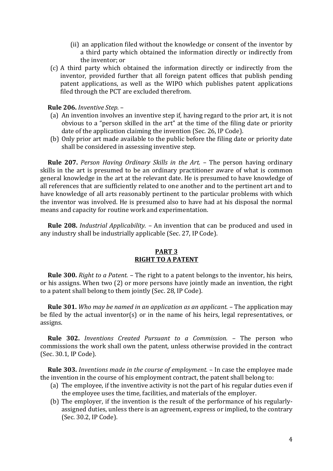- (ii) an application filed without the knowledge or consent of the inventor by a third party which obtained the information directly or indirectly from the inventor; or
- (c) A third party which obtained the information directly or indirectly from the inventor, provided further that all foreign patent offices that publish pending patent applications, as well as the WIPO which publishes patent applications filed through the PCT are excluded therefrom.

# **Rule 206.** *Inventive Step.* –

- (a) An invention involves an inventive step if, having regard to the prior art, it is not obvious to a "person skilled in the art" at the time of the filing date or priority date of the application claiming the invention (Sec. 26, IP Code).
- (b) Only prior art made available to the public before the filing date or priority date shall be considered in assessing inventive step.

 **Rule 207.** *Person Having Ordinary Skills in the Art.* – The person having ordinary skills in the art is presumed to be an ordinary practitioner aware of what is common general knowledge in the art at the relevant date. He is presumed to have knowledge of all references that are sufficiently related to one another and to the pertinent art and to have knowledge of all arts reasonably pertinent to the particular problems with which the inventor was involved. He is presumed also to have had at his disposal the normal means and capacity for routine work and experimentation.

 **Rule 208.** *Industrial Applicability.* – An invention that can be produced and used in any industry shall be industrially applicable (Sec. 27, IP Code).

# **PART 3 RIGHT TO A PATENT**

 **Rule 300.** *Right to a Patent.* – The right to a patent belongs to the inventor, his heirs, or his assigns. When two (2) or more persons have jointly made an invention, the right to a patent shall belong to them jointly (Sec. 28, IP Code).

 **Rule 301.** *Who may be named in an application as an applicant.* – The application may be filed by the actual inventor(s) or in the name of his heirs, legal representatives, or assigns.

 **Rule 302.** *Inventions Created Pursuant to a Commission.* – The person who commissions the work shall own the patent, unless otherwise provided in the contract (Sec. 30.1, IP Code).

 **Rule 303.** *Inventions made in the course of employment.* – In case the employee made the invention in the course of his employment contract, the patent shall belong to:

- (a) The employee, if the inventive activity is not the part of his regular duties even if the employee uses the time, facilities, and materials of the employer.
- (b) The employer, if the invention is the result of the performance of his regularlyassigned duties, unless there is an agreement, express or implied, to the contrary (Sec. 30.2, IP Code).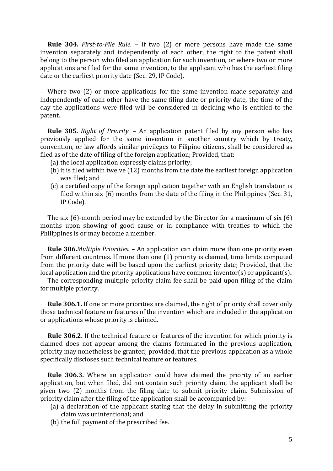**Rule 304.** *First-to-File Rule.* – If two (2) or more persons have made the same invention separately and independently of each other, the right to the patent shall belong to the person who filed an application for such invention, or where two or more applications are filed for the same invention, to the applicant who has the earliest filing date or the earliest priority date (Sec. 29, IP Code).

Where two (2) or more applications for the same invention made separately and independently of each other have the same filing date or priority date, the time of the day the applications were filed will be considered in deciding who is entitled to the patent.

 **Rule 305.** *Right of Priority.* – An application patent filed by any person who has previously applied for the same invention in another country which by treaty, convention, or law affords similar privileges to Filipino citizens, shall be considered as filed as of the date of filing of the foreign application; Provided, that:

- (a) the local application expressly claims priority;
- (b) it is filed within twelve (12) months from the date the earliest foreign application was filed; and
- (c) a certified copy of the foreign application together with an English translation is filed within six (6) months from the date of the filing in the Philippines (Sec. 31, IP Code).

 The six (6)-month period may be extended by the Director for a maximum of six (6) months upon showing of good cause or in compliance with treaties to which the Philippines is or may become a member.

 **Rule 306.***Multiple Priorities.* – An application can claim more than one priority even from different countries. If more than one (1) priority is claimed, time limits computed from the priority date will be based upon the earliest priority date; Provided, that the local application and the priority applications have common inventor(s) or applicant(s)**.**

The corresponding multiple priority claim fee shall be paid upon filing of the claim for multiple priority.

 **Rule 306.1.** If one or more priorities are claimed, the right of priority shall cover only those technical feature or features of the invention which are included in the application or applications whose priority is claimed.

 **Rule 306.2.** If the technical feature or features of the invention for which priority is claimed does not appear among the claims formulated in the previous application, priority may nonetheless be granted; provided, that the previous application as a whole specifically discloses such technical feature or features.

 **Rule 306.3.** Where an application could have claimed the priority of an earlier application, but when filed, did not contain such priority claim, the applicant shall be given two (2) months from the filing date to submit priority claim. Submission of priority claim after the filing of the application shall be accompanied by:

- (a) a declaration of the applicant stating that the delay in submitting the priority claim was unintentional; and
- (b) the full payment of the prescribed fee.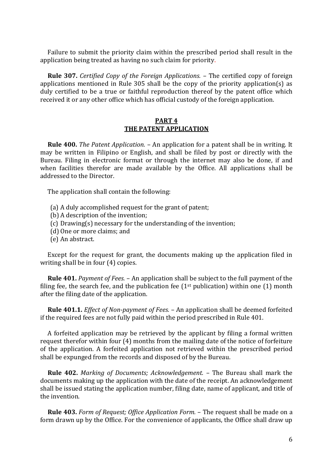Failure to submit the priority claim within the prescribed period shall result in the application being treated as having no such claim for priority.

 **Rule 307.** *Certified Copy of the Foreign Applications.* – The certified copy of foreign applications mentioned in Rule 305 shall be the copy of the priority application(s) as duly certified to be a true or faithful reproduction thereof by the patent office which received it or any other office which has official custody of the foreign application.

#### **PART 4 THE PATENT APPLICATION**

 **Rule 400.** *The Patent Application.* – An application for a patent shall be in writing. It may be written in Filipino or English, and shall be filed by post or directly with the Bureau. Filing in electronic format or through the internet may also be done, if and when facilities therefor are made available by the Office. All applications shall be addressed to the Director.

The application shall contain the following:

- (a) A duly accomplished request for the grant of patent;
- (b) A description of the invention;
- (c) Drawing(s) necessary for the understanding of the invention;
- (d) One or more claims; and
- (e) An abstract.

 Except for the request for grant, the documents making up the application filed in writing shall be in four (4) copies.

 **Rule 401.** *Payment of Fees.* – An application shall be subject to the full payment of the filing fee, the search fee, and the publication fee  $(1<sup>st</sup>$  publication) within one  $(1)$  month after the filing date of the application.

 **Rule 401.1.** *Effect of Non-payment of Fees.* – An application shall be deemed forfeited if the required fees are not fully paid within the period prescribed in Rule 401.

 A forfeited application may be retrieved by the applicant by filing a formal written request therefor within four (4) months from the mailing date of the notice of forfeiture of the application. A forfeited application not retrieved within the prescribed period shall be expunged from the records and disposed of by the Bureau.

 **Rule 402.** *Marking of Documents; Acknowledgement.* – The Bureau shall mark the documents making up the application with the date of the receipt. An acknowledgement shall be issued stating the application number, filing date, name of applicant, and title of the invention.

 **Rule 403.** *Form of Request; Office Application Form.* – The request shall be made on a form drawn up by the Office. For the convenience of applicants, the Office shall draw up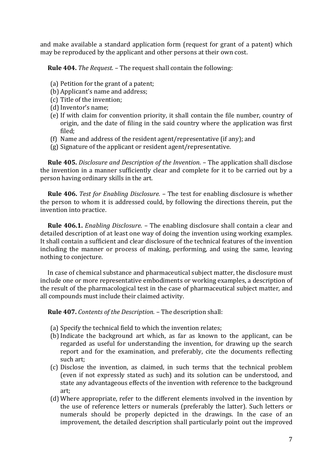and make available a standard application form (request for grant of a patent) which may be reproduced by the applicant and other persons at their own cost.

**Rule 404.** *The Request.* – The request shall contain the following:

- (a) Petition for the grant of a patent;
- (b) Applicant's name and address;
- (c) Title of the invention;
- (d)Inventor's name;
- (e) If with claim for convention priority, it shall contain the file number, country of origin, and the date of filing in the said country where the application was first filed;
- (f) Name and address of the resident agent/representative (if any); and
- (g) Signature of the applicant or resident agent/representative.

 **Rule 405.** *Disclosure and Description of the Invention.* – The application shall disclose the invention in a manner sufficiently clear and complete for it to be carried out by a person having ordinary skills in the art.

 **Rule 406.** *Test for Enabling Disclosure.* – The test for enabling disclosure is whether the person to whom it is addressed could, by following the directions therein, put the invention into practice.

 **Rule 406.1.** *Enabling Disclosure.* – The enabling disclosure shall contain a clear and detailed description of at least one way of doing the invention using working examples. It shall contain a sufficient and clear disclosure of the technical features of the invention including the manner or process of making, performing, and using the same, leaving nothing to conjecture.

 In case of chemical substance and pharmaceutical subject matter, the disclosure must include one or more representative embodiments or working examples, a description of the result of the pharmacological test in the case of pharmaceutical subject matter, and all compounds must include their claimed activity.

**Rule 407.** *Contents of the Description.* – The description shall:

- (a) Specify the technical field to which the invention relates;
- (b)Indicate the background art which, as far as known to the applicant, can be regarded as useful for understanding the invention, for drawing up the search report and for the examination, and preferably, cite the documents reflecting such art;
- (c) Disclose the invention, as claimed, in such terms that the technical problem (even if not expressly stated as such) and its solution can be understood, and state any advantageous effects of the invention with reference to the background art;
- (d) Where appropriate, refer to the different elements involved in the invention by the use of reference letters or numerals (preferably the latter). Such letters or numerals should be properly depicted in the drawings. In the case of an improvement, the detailed description shall particularly point out the improved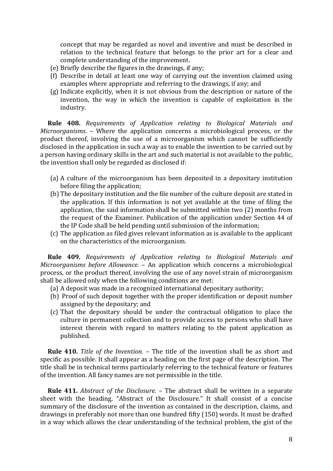concept that may be regarded as novel and inventive and must be described in relation to the technical feature that belongs to the prior art for a clear and complete understanding of the improvement.

- (e) Briefly describe the figures in the drawings, if any;
- (f) Describe in detail at least one way of carrying out the invention claimed using examples where appropriate and referring to the drawings, if any; and
- (g) Indicate explicitly, when it is not obvious from the description or nature of the invention, the way in which the invention is capable of exploitation in the industry.

 **Rule 408.** *Requirements of Application relating to Biological Materials and Microorganisms.* – Where the application concerns a microbiological process, or the product thereof, involving the use of a microorganism which cannot be sufficiently disclosed in the application in such a way as to enable the invention to be carried out by a person having ordinary skills in the art and such material is not available to the public, the invention shall only be regarded as disclosed if:

- (a) A culture of the microorganism has been deposited in a depositary institution before filing the application;
- (b) The depositary institution and the file number of the culture deposit are stated in the application. If this information is not yet available at the time of filing the application, the said information shall be submitted within two (2) months from the request of the Examiner. Publication of the application under Section 44 of the IP Code shall be held pending until submission of the information;
- (c) The application as filed gives relevant information as is available to the applicant on the characteristics of the microorganism.

 **Rule 409.** *Requirements of Application relating to Biological Materials and Microorganisms before Allowance.* – An application which concerns a microbiological process, or the product thereof, involving the use of any novel strain of microorganism shall be allowed only when the following conditions are met:

- (a) A deposit was made in a recognized international depositary authority;
- (b) Proof of such deposit together with the proper identification or deposit number assigned by the depositary; and
- (c) That the depositary should be under the contractual obligation to place the culture in permanent collection and to provide access to persons who shall have interest therein with regard to matters relating to the patent application as published.

 **Rule 410.** *Title of the Invention.* – The title of the invention shall be as short and specific as possible. It shall appear as a heading on the first page of the description. The title shall be in technical terms particularly referring to the technical feature or features of the invention. All fancy names are not permissible in the title.

 **Rule 411.** *Abstract of the Disclosure.* – The abstract shall be written in a separate sheet with the heading, "Abstract of the Disclosure." It shall consist of a concise summary of the disclosure of the invention as contained in the description, claims, and drawings in preferably not more than one hundred fifty (150) words. It must be drafted in a way which allows the clear understanding of the technical problem, the gist of the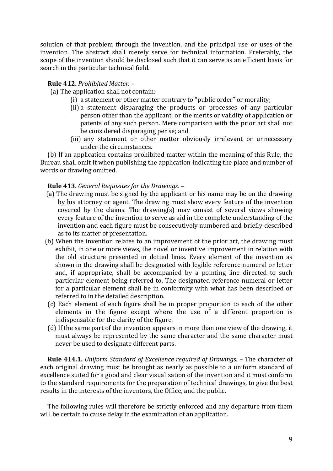solution of that problem through the invention, and the principal use or uses of the invention. The abstract shall merely serve for technical information. Preferably, the scope of the invention should be disclosed such that it can serve as an efficient basis for search in the particular technical field.

# **Rule 412.** *Prohibited Matter.* –

(a) The application shall not contain:

- (i) a statement or other matter contrary to "public order" or morality;
- (ii) a statement disparaging the products or processes of any particular person other than the applicant, or the merits or validity of application or patents of any such person. Mere comparison with the prior art shall not be considered disparaging per se; and
- (iii) any statement or other matter obviously irrelevant or unnecessary under the circumstances.

 (b) If an application contains prohibited matter within the meaning of this Rule, the Bureau shall omit it when publishing the application indicating the place and number of words or drawing omitted.

# **Rule 413.** *General Requisites for the Drawings.* –

- (a) The drawing must be signed by the applicant or his name may be on the drawing by his attorney or agent. The drawing must show every feature of the invention covered by the claims. The drawing(s) may consist of several views showing every feature of the invention to serve as aid in the complete understanding of the invention and each figure must be consecutively numbered and briefly described as to its matter of presentation.
- (b) When the invention relates to an improvement of the prior art, the drawing must exhibit, in one or more views, the novel or inventive improvement in relation with the old structure presented in dotted lines. Every element of the invention as shown in the drawing shall be designated with legible reference numeral or letter and, if appropriate, shall be accompanied by a pointing line directed to such particular element being referred to. The designated reference numeral or letter for a particular element shall be in conformity with what has been described or referred to in the detailed description.
- (c) Each element of each figure shall be in proper proportion to each of the other elements in the figure except where the use of a different proportion is indispensable for the clarity of the figure.
- (d) If the same part of the invention appears in more than one view of the drawing, it must always be represented by the same character and the same character must never be used to designate different parts.

 **Rule 414.1.** *Uniform Standard of Excellence required of Drawings.* – The character of each original drawing must be brought as nearly as possible to a uniform standard of excellence suited for a good and clear visualization of the invention and it must conform to the standard requirements for the preparation of technical drawings, to give the best results in the interests of the inventors, the Office, and the public.

 The following rules will therefore be strictly enforced and any departure from them will be certain to cause delay in the examination of an application.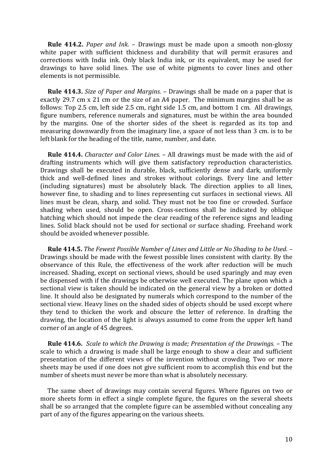**Rule 414.2.** *Paper and Ink.* – Drawings must be made upon a smooth non-glossy white paper with sufficient thickness and durability that will permit erasures and corrections with India ink. Only black India ink, or its equivalent, may be used for drawings to have solid lines. The use of white pigments to cover lines and other elements is not permissible.

 **Rule 414.3.** *Size of Paper and Margins.* – Drawings shall be made on a paper that is exactly 29.7 cm x 21 cm or the size of an A4 paper. The minimum margins shall be as follows: Top 2.5 cm, left side 2.5 cm, right side 1.5 cm, and bottom 1 cm. All drawings, figure numbers, reference numerals and signatures, must be within the area bounded by the margins. One of the shorter sides of the sheet is regarded as its top and measuring downwardly from the imaginary line, a space of not less than 3 cm. is to be left blank for the heading of the title, name, number, and date.

 **Rule 414.4.** *Character and Color Lines.* – All drawings must be made with the aid of drafting instruments which will give them satisfactory reproduction characteristics. Drawings shall be executed in durable, black, sufficiently dense and dark, uniformly thick and well-defined lines and strokes without colorings. Every line and letter (including signatures) must be absolutely black. The direction applies to all lines, however fine, to shading and to lines representing cut surfaces in sectional views. All lines must be clean, sharp, and solid. They must not be too fine or crowded. Surface shading when used, should be open. Cross-sections shall be indicated by oblique hatching which should not impede the clear reading of the reference signs and leading lines. Solid black should not be used for sectional or surface shading. Freehand work should be avoided whenever possible.

 **Rule 414.5.** *The Fewest Possible Number of Lines and Little or No Shading to be Used.* – Drawings should be made with the fewest possible lines consistent with clarity. By the observance of this Rule, the effectiveness of the work after reduction will be much increased. Shading, except on sectional views, should be used sparingly and may even be dispensed with if the drawings be otherwise well executed. The plane upon which a sectional view is taken should be indicated on the general view by a broken or dotted line. It should also be designated by numerals which correspond to the number of the sectional view. Heavy lines on the shaded sides of objects should be used except where they tend to thicken the work and obscure the letter of reference. In drafting the drawing, the location of the light is always assumed to come from the upper left hand corner of an angle of 45 degrees.

 **Rule 414.6.** *Scale to which the Drawing is made; Presentation of the Drawings.* – The scale to which a drawing is made shall be large enough to show a clear and sufficient presentation of the different views of the invention without crowding. Two or more sheets may be used if one does not give sufficient room to accomplish this end but the number of sheets must never be more than what is absolutely necessary.

 The same sheet of drawings may contain several figures. Where figures on two or more sheets form in effect a single complete figure, the figures on the several sheets shall be so arranged that the complete figure can be assembled without concealing any part of any of the figures appearing on the various sheets.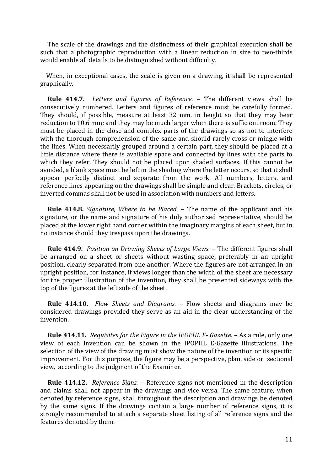The scale of the drawings and the distinctness of their graphical execution shall be such that a photographic reproduction with a linear reduction in size to two-thirds would enable all details to be distinguished without difficulty.

 When, in exceptional cases, the scale is given on a drawing, it shall be represented graphically.

 **Rule 414.7.** *Letters and Figures of Reference.* – The different views shall be consecutively numbered. Letters and figures of reference must be carefully formed. They should, if possible, measure at least 32 mm. in height so that they may bear reduction to 10.6 mm; and they may be much larger when there is sufficient room. They must be placed in the close and complex parts of the drawings so as not to interfere with the thorough comprehension of the same and should rarely cross or mingle with the lines. When necessarily grouped around a certain part, they should be placed at a little distance where there is available space and connected by lines with the parts to which they refer. They should not be placed upon shaded surfaces. If this cannot be avoided, a blank space must be left in the shading where the letter occurs, so that it shall appear perfectly distinct and separate from the work. All numbers, letters, and reference lines appearing on the drawings shall be simple and clear. Brackets, circles, or inverted commas shall not be used in association with numbers and letters.

 **Rule 414.8.** *Signature, Where to be Placed.* – The name of the applicant and his signature, or the name and signature of his duly authorized representative, should be placed at the lower right hand corner within the imaginary margins of each sheet, but in no instance should they trespass upon the drawings.

 **Rule 414.9.** *Position on Drawing Sheets of Large Views.* – The different figures shall be arranged on a sheet or sheets without wasting space, preferably in an upright position, clearly separated from one another. Where the figures are not arranged in an upright position, for instance, if views longer than the width of the sheet are necessary for the proper illustration of the invention, they shall be presented sideways with the top of the figures at the left side of the sheet.

 **Rule 414.10.** *Flow Sheets and Diagrams.* – Flow sheets and diagrams may be considered drawings provided they serve as an aid in the clear understanding of the invention.

 **Rule 414.11.** *Requisites for the Figure in the IPOPHL E- Gazette.* – As a rule, only one view of each invention can be shown in the IPOPHL E-Gazette illustrations. The selection of the view of the drawing must show the nature of the invention or its specific improvement. For this purpose, the figure may be a perspective, plan, side or sectional view, according to the judgment of the Examiner.

 **Rule 414.12.** *Reference Signs.* – Reference signs not mentioned in the description and claims shall not appear in the drawings and vice versa. The same feature, when denoted by reference signs, shall throughout the description and drawings be denoted by the same signs. If the drawings contain a large number of reference signs, it is strongly recommended to attach a separate sheet listing of all reference signs and the features denoted by them.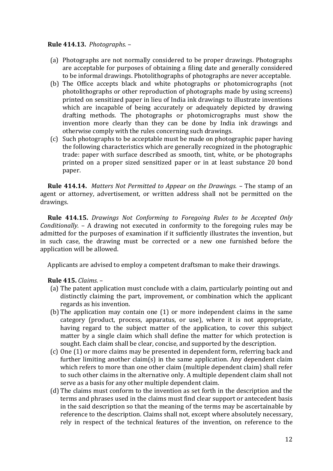# **Rule 414.13.** *Photographs.* –

- (a) Photographs are not normally considered to be proper drawings. Photographs are acceptable for purposes of obtaining a filing date and generally considered to be informal drawings. Photolithographs of photographs are never acceptable.
- (b) The Office accepts black and white photographs or photomicrographs (not photolithographs or other reproduction of photographs made by using screens) printed on sensitized paper in lieu of India ink drawings to illustrate inventions which are incapable of being accurately or adequately depicted by drawing drafting methods. The photographs or photomicrographs must show the invention more clearly than they can be done by India ink drawings and otherwise comply with the rules concerning such drawings.
- (c) Such photographs to be acceptable must be made on photographic paper having the following characteristics which are generally recognized in the photographic trade: paper with surface described as smooth, tint, white, or be photographs printed on a proper sized sensitized paper or in at least substance 20 bond paper.

 **Rule 414.14.** *Matters Not Permitted to Appear on the Drawings.* – The stamp of an agent or attorney, advertisement, or written address shall not be permitted on the drawings.

 **Rule 414.15.** *Drawings Not Conforming to Foregoing Rules to be Accepted Only Conditionally.* – A drawing not executed in conformity to the foregoing rules may be admitted for the purposes of examination if it sufficiently illustrates the invention, but in such case, the drawing must be corrected or a new one furnished before the application will be allowed.

Applicants are advised to employ a competent draftsman to make their drawings.

# **Rule 415.** *Claims.* –

- (a) The patent application must conclude with a claim, particularly pointing out and distinctly claiming the part, improvement, or combination which the applicant regards as his invention.
- (b) The application may contain one (1) or more independent claims in the same category (product, process, apparatus, or use), where it is not appropriate, having regard to the subject matter of the application, to cover this subject matter by a single claim which shall define the matter for which protection is sought. Each claim shall be clear, concise, and supported by the description.
- (c) One (1) or more claims may be presented in dependent form, referring back and further limiting another claim(s) in the same application. Any dependent claim which refers to more than one other claim (multiple dependent claim) shall refer to such other claims in the alternative only. A multiple dependent claim shall not serve as a basis for any other multiple dependent claim.
- (d) The claims must conform to the invention as set forth in the description and the terms and phrases used in the claims must find clear support or antecedent basis in the said description so that the meaning of the terms may be ascertainable by reference to the description. Claims shall not, except where absolutely necessary, rely in respect of the technical features of the invention, on reference to the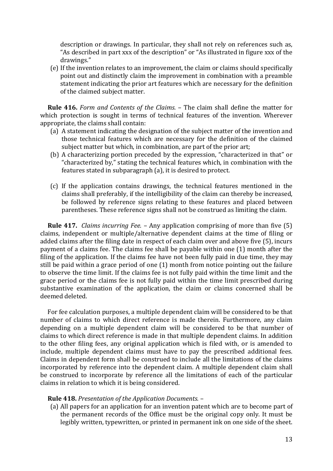description or drawings. In particular, they shall not rely on references such as, "As described in part xxx of the description" or "As illustrated in figure xxx of the drawings."

(e) If the invention relates to an improvement, the claim or claims should specifically point out and distinctly claim the improvement in combination with a preamble statement indicating the prior art features which are necessary for the definition of the claimed subject matter.

 **Rule 416.** *Form and Contents of the Claims.* – The claim shall define the matter for which protection is sought in terms of technical features of the invention. Wherever appropriate, the claims shall contain:

- (a) A statement indicating the designation of the subject matter of the invention and those technical features which are necessary for the definition of the claimed subject matter but which, in combination, are part of the prior art;
- (b) A characterizing portion preceded by the expression, "characterized in that" or "characterized by," stating the technical features which, in combination with the features stated in subparagraph (a), it is desired to protect.
- (c) If the application contains drawings, the technical features mentioned in the claims shall preferably, if the intelligibility of the claim can thereby be increased, be followed by reference signs relating to these features and placed between parentheses. These reference signs shall not be construed as limiting the claim.

 **Rule 417.** *Claims incurring Fee.* – Any application comprising of more than five (5) claims, independent or multiple/alternative dependent claims at the time of filing or added claims after the filing date in respect of each claim over and above five (5), incurs payment of a claims fee. The claims fee shall be payable within one (1) month after the filing of the application. If the claims fee have not been fully paid in due time, they may still be paid within a grace period of one (1) month from notice pointing out the failure to observe the time limit. If the claims fee is not fully paid within the time limit and the grace period or the claims fee is not fully paid within the time limit prescribed during substantive examination of the application, the claim or claims concerned shall be deemed deleted.

 For fee calculation purposes, a multiple dependent claim will be considered to be that number of claims to which direct reference is made therein. Furthermore, any claim depending on a multiple dependent claim will be considered to be that number of claims to which direct reference is made in that multiple dependent claims. In addition to the other filing fees, any original application which is filed with, or is amended to include, multiple dependent claims must have to pay the prescribed additional fees. Claims in dependent form shall be construed to include all the limitations of the claims incorporated by reference into the dependent claim. A multiple dependent claim shall be construed to incorporate by reference all the limitations of each of the particular claims in relation to which it is being considered.

#### **Rule 418.** *Presentation of the Application Documents.* –

(a) All papers for an application for an invention patent which are to become part of the permanent records of the Office must be the original copy only. It must be legibly written, typewritten, or printed in permanent ink on one side of the sheet.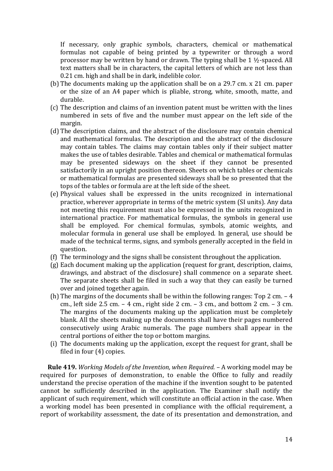If necessary, only graphic symbols, characters, chemical or mathematical formulas not capable of being printed by a typewriter or through a word processor may be written by hand or drawn. The typing shall be 1 ½-spaced. All text matters shall be in characters, the capital letters of which are not less than 0.21 cm. high and shall be in dark, indelible color.

- (b) The documents making up the application shall be on a 29.7 cm. x 21 cm. paper or the size of an A4 paper which is pliable, strong, white, smooth, matte, and durable.
- (c) The description and claims of an invention patent must be written with the lines numbered in sets of five and the number must appear on the left side of the margin.
- (d) The description claims, and the abstract of the disclosure may contain chemical and mathematical formulas. The description and the abstract of the disclosure may contain tables. The claims may contain tables only if their subject matter makes the use of tables desirable. Tables and chemical or mathematical formulas may be presented sideways on the sheet if they cannot be presented satisfactorily in an upright position thereon. Sheets on which tables or chemicals or mathematical formulas are presented sideways shall be so presented that the tops of the tables or formula are at the left side of the sheet.
- (e) Physical values shall be expressed in the units recognized in international practice, wherever appropriate in terms of the metric system (SI units). Any data not meeting this requirement must also be expressed in the units recognized in international practice. For mathematical formulas, the symbols in general use shall be employed. For chemical formulas, symbols, atomic weights, and molecular formula in general use shall be employed. In general, use should be made of the technical terms, signs, and symbols generally accepted in the field in question.
- (f) The terminology and the signs shall be consistent throughout the application.
- (g) Each document making up the application (request for grant, description, claims, drawings, and abstract of the disclosure) shall commence on a separate sheet. The separate sheets shall be filed in such a way that they can easily be turned over and joined together again.
- (h) The margins of the documents shall be within the following ranges: Top 2 cm. 4 cm., left side 2.5 cm. – 4 cm., right side 2 cm. – 3 cm., and bottom 2 cm. – 3 cm. The margins of the documents making up the application must be completely blank. All the sheets making up the documents shall have their pages numbered consecutively using Arabic numerals. The page numbers shall appear in the central portions of either the top or bottom margins.
- (i) The documents making up the application, except the request for grant, shall be filed in four (4) copies.

 **Rule 419.** *Working Models of the Invention, when Required.* – A working model may be required for purposes of demonstration, to enable the Office to fully and readily understand the precise operation of the machine if the invention sought to be patented cannot be sufficiently described in the application. The Examiner shall notify the applicant of such requirement, which will constitute an official action in the case. When a working model has been presented in compliance with the official requirement, a report of workability assessment, the date of its presentation and demonstration, and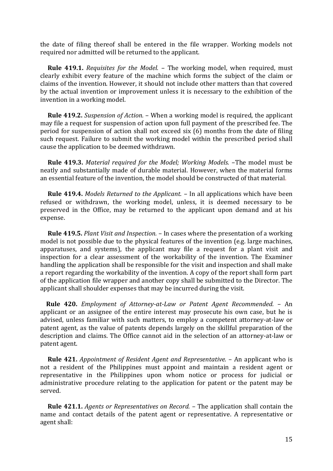the date of filing thereof shall be entered in the file wrapper. Working models not required nor admitted will be returned to the applicant.

 **Rule 419.1.** *Requisites for the Model.* – The working model, when required, must clearly exhibit every feature of the machine which forms the subject of the claim or claims of the invention. However, it should not include other matters than that covered by the actual invention or improvement unless it is necessary to the exhibition of the invention in a working model.

 **Rule 419.2.** *Suspension of Action.* – When a working model is required, the applicant may file a request for suspension of action upon full payment of the prescribed fee. The period for suspension of action shall not exceed six (6) months from the date of filing such request. Failure to submit the working model within the prescribed period shall cause the application to be deemed withdrawn.

 **Rule 419.3.** *Material required for the Model; Working Models.* –The model must be neatly and substantially made of durable material. However, when the material forms an essential feature of the invention, the model should be constructed of that material.

 **Rule 419.4.** *Models Returned to the Applicant.* – In all applications which have been refused or withdrawn, the working model, unless, it is deemed necessary to be preserved in the Office, may be returned to the applicant upon demand and at his expense.

 **Rule 419.5.** *Plant Visit and Inspection.* – In cases where the presentation of a working model is not possible due to the physical features of the invention (e.g. large machines, apparatuses, and systems), the applicant may file a request for a plant visit and inspection for a clear assessment of the workability of the invention. The Examiner handling the application shall be responsible for the visit and inspection and shall make a report regarding the workability of the invention. A copy of the report shall form part of the application file wrapper and another copy shall be submitted to the Director. The applicant shall shoulder expenses that may be incurred during the visit.

 **Rule 420.** *Employment of Attorney-at-Law or Patent Agent Recommended.* – An applicant or an assignee of the entire interest may prosecute his own case, but he is advised, unless familiar with such matters, to employ a competent attorney-at-law or patent agent, as the value of patents depends largely on the skillful preparation of the description and claims. The Office cannot aid in the selection of an attorney-at-law or patent agent.

 **Rule 421.** *Appointment of Resident Agent and Representative.* – An applicant who is not a resident of the Philippines must appoint and maintain a resident agent or representative in the Philippines upon whom notice or process for judicial or administrative procedure relating to the application for patent or the patent may be served.

 **Rule 421.1.** *Agents or Representatives on Record.* – The application shall contain the name and contact details of the patent agent or representative. A representative or agent shall: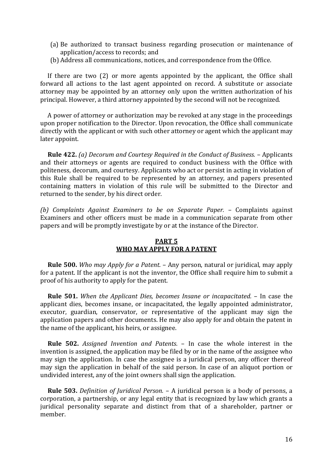- (a) Be authorized to transact business regarding prosecution or maintenance of application/access to records; and
- (b) Address all communications, notices, and correspondence from the Office.

 If there are two (2) or more agents appointed by the applicant, the Office shall forward all actions to the last agent appointed on record. A substitute or associate attorney may be appointed by an attorney only upon the written authorization of his principal. However, a third attorney appointed by the second will not be recognized.

 A power of attorney or authorization may be revoked at any stage in the proceedings upon proper notification to the Director. Upon revocation, the Office shall communicate directly with the applicant or with such other attorney or agent which the applicant may later appoint.

 **Rule 422.** *(a) Decorum and Courtesy Required in the Conduct of Business.* – Applicants and their attorneys or agents are required to conduct business with the Office with politeness, decorum, and courtesy. Applicants who act or persist in acting in violation of this Rule shall be required to be represented by an attorney, and papers presented containing matters in violation of this rule will be submitted to the Director and returned to the sender, by his direct order.

*(b) Complaints Against Examiners to be on Separate Paper.* – Complaints against Examiners and other officers must be made in a communication separate from other papers and will be promptly investigate by or at the instance of the Director.

# **PART 5 WHO MAY APPLY FOR A PATENT**

 **Rule 500.** *Who may Apply for a Patent.* – Any person, natural or juridical, may apply for a patent. If the applicant is not the inventor, the Office shall require him to submit a proof of his authority to apply for the patent.

 **Rule 501.** *When the Applicant Dies, becomes Insane or incapacitated.* – In case the applicant dies, becomes insane, or incapacitated, the legally appointed administrator, executor, guardian, conservator, or representative of the applicant may sign the application papers and other documents. He may also apply for and obtain the patent in the name of the applicant, his heirs, or assignee.

 **Rule 502.** *Assigned Invention and Patents.* – In case the whole interest in the invention is assigned, the application may be filed by or in the name of the assignee who may sign the application. In case the assignee is a juridical person, any officer thereof may sign the application in behalf of the said person. In case of an aliquot portion or undivided interest, any of the joint owners shall sign the application.

 **Rule 503.** *Definition of Juridical Person.* – A juridical person is a body of persons, a corporation, a partnership, or any legal entity that is recognized by law which grants a juridical personality separate and distinct from that of a shareholder, partner or member.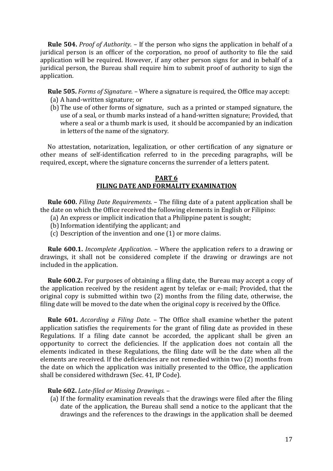**Rule 504.** *Proof of Authority.* – If the person who signs the application in behalf of a juridical person is an officer of the corporation, no proof of authority to file the said application will be required. However, if any other person signs for and in behalf of a juridical person, the Bureau shall require him to submit proof of authority to sign the application.

**Rule 505.** *Forms of Signature.* – Where a signature is required, the Office may accept:

- (a) A hand-written signature; or
- (b) The use of other forms of signature, such as a printed or stamped signature, the use of a seal, or thumb marks instead of a hand-written signature; Provided, that where a seal or a thumb mark is used, it should be accompanied by an indication in letters of the name of the signatory.

 No attestation, notarization, legalization, or other certification of any signature or other means of self-identification referred to in the preceding paragraphs, will be required, except, where the signature concerns the surrender of a letters patent.

# **PART 6 FILING DATE AND FORMALITY EXAMINATION**

 **Rule 600.** *Filing Date Requirements.* – The filing date of a patent application shall be the date on which the Office received the following elements in English or Filipino:

- (a) An express or implicit indication that a Philippine patent is sought;
- (b)Information identifying the applicant; and
- (c) Description of the invention and one (1) or more claims.

 **Rule 600.1.** *Incomplete Application.* – Where the application refers to a drawing or drawings, it shall not be considered complete if the drawing or drawings are not included in the application.

 **Rule 600.2.** For purposes of obtaining a filing date, the Bureau may accept a copy of the application received by the resident agent by telefax or e-mail; Provided, that the original copy is submitted within two (2) months from the filing date, otherwise, the filing date will be moved to the date when the original copy is received by the Office.

 **Rule 601.** *According a Filing Date.* – The Office shall examine whether the patent application satisfies the requirements for the grant of filing date as provided in these Regulations. If a filing date cannot be accorded, the applicant shall be given an opportunity to correct the deficiencies. If the application does not contain all the elements indicated in these Regulations, the filing date will be the date when all the elements are received. If the deficiencies are not remedied within two (2) months from the date on which the application was initially presented to the Office, the application shall be considered withdrawn (Sec. 41, IP Code).

## **Rule 602.** *Late-filed or Missing Drawings.* –

(a) If the formality examination reveals that the drawings were filed after the filing date of the application, the Bureau shall send a notice to the applicant that the drawings and the references to the drawings in the application shall be deemed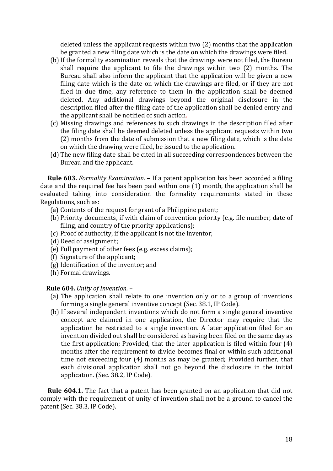deleted unless the applicant requests within two (2) months that the application be granted a new filing date which is the date on which the drawings were filed.

- (b)If the formality examination reveals that the drawings were not filed, the Bureau shall require the applicant to file the drawings within two (2) months. The Bureau shall also inform the applicant that the application will be given a new filing date which is the date on which the drawings are filed, or if they are not filed in due time, any reference to them in the application shall be deemed deleted. Any additional drawings beyond the original disclosure in the description filed after the filing date of the application shall be denied entry and the applicant shall be notified of such action.
- (c) Missing drawings and references to such drawings in the description filed after the filing date shall be deemed deleted unless the applicant requests within two (2) months from the date of submission that a new filing date, which is the date on which the drawing were filed, be issued to the application.
- (d) The new filing date shall be cited in all succeeding correspondences between the Bureau and the applicant.

 **Rule 603.** *Formality Examination.* – If a patent application has been accorded a filing date and the required fee has been paid within one (1) month, the application shall be evaluated taking into consideration the formality requirements stated in these Regulations, such as:

- (a) Contents of the request for grant of a Philippine patent;
- (b) Priority documents, if with claim of convention priority (e.g. file number, date of filing, and country of the priority applications);
- (c) Proof of authority, if the applicant is not the inventor;
- (d) Deed of assignment;
- (e) Full payment of other fees (e.g. excess claims);
- (f) Signature of the applicant;
- (g) Identification of the inventor; and
- (h) Formal drawings.

#### **Rule 604.** *Unity of Invention.* –

- (a) The application shall relate to one invention only or to a group of inventions forming a single general inventive concept (Sec. 38.1, IP Code).
- (b) If several independent inventions which do not form a single general inventive concept are claimed in one application, the Director may require that the application be restricted to a single invention. A later application filed for an invention divided out shall be considered as having been filed on the same day as the first application; Provided, that the later application is filed within four (4) months after the requirement to divide becomes final or within such additional time not exceeding four (4) months as may be granted; Provided further, that each divisional application shall not go beyond the disclosure in the initial application. (Sec. 38.2, IP Code).

 **Rule 604.1.** The fact that a patent has been granted on an application that did not comply with the requirement of unity of invention shall not be a ground to cancel the patent (Sec. 38.3, IP Code).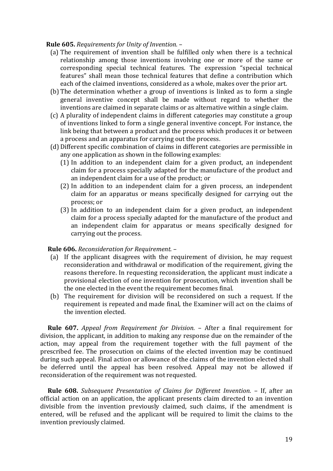## **Rule 605.** *Requirements for Unity of Invention.* –

- (a) The requirement of invention shall be fulfilled only when there is a technical relationship among those inventions involving one or more of the same or corresponding special technical features. The expression "special technical features" shall mean those technical features that define a contribution which each of the claimed inventions, considered as a whole, makes over the prior art.
- (b) The determination whether a group of inventions is linked as to form a single general inventive concept shall be made without regard to whether the inventions are claimed in separate claims or as alternative within a single claim.
- (c) A plurality of independent claims in different categories may constitute a group of inventions linked to form a single general inventive concept. For instance, the link being that between a product and the process which produces it or between a process and an apparatus for carrying out the process.
- (d) Different specific combination of claims in different categories are permissible in any one application as shown in the following examples:
	- (1) In addition to an independent claim for a given product, an independent claim for a process specially adapted for the manufacture of the product and an independent claim for a use of the product; or
	- (2) In addition to an independent claim for a given process, an independent claim for an apparatus or means specifically designed for carrying out the process; or
	- (3) In addition to an independent claim for a given product, an independent claim for a process specially adapted for the manufacture of the product and an independent claim for apparatus or means specifically designed for carrying out the process.

## **Rule 606.** *Reconsideration for Requirement.* –

- (a) If the applicant disagrees with the requirement of division, he may request reconsideration and withdrawal or modification of the requirement, giving the reasons therefore. In requesting reconsideration, the applicant must indicate a provisional election of one invention for prosecution, which invention shall be the one elected in the event the requirement becomes final.
- (b) The requirement for division will be reconsidered on such a request. If the requirement is repeated and made final, the Examiner will act on the claims of the invention elected.

 **Rule 607.** *Appeal from Requirement for Division.* – After a final requirement for division, the applicant, in addition to making any response due on the remainder of the action, may appeal from the requirement together with the full payment of the prescribed fee. The prosecution on claims of the elected invention may be continued during such appeal. Final action or allowance of the claims of the invention elected shall be deferred until the appeal has been resolved. Appeal may not be allowed if reconsideration of the requirement was not requested.

 **Rule 608.** *Subsequent Presentation of Claims for Different Invention.* – If, after an official action on an application, the applicant presents claim directed to an invention divisible from the invention previously claimed, such claims, if the amendment is entered, will be refused and the applicant will be required to limit the claims to the invention previously claimed.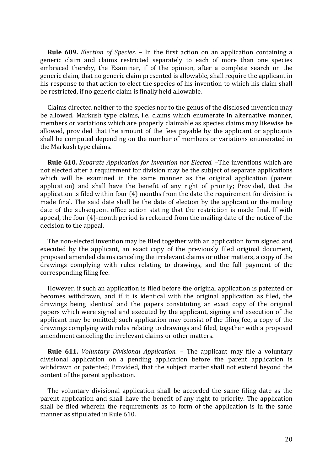**Rule 609.** *Election of Species.* – In the first action on an application containing a generic claim and claims restricted separately to each of more than one species embraced thereby, the Examiner, if of the opinion, after a complete search on the generic claim, that no generic claim presented is allowable, shall require the applicant in his response to that action to elect the species of his invention to which his claim shall be restricted, if no generic claim is finally held allowable.

 Claims directed neither to the species nor to the genus of the disclosed invention may be allowed. Markush type claims, i.e. claims which enumerate in alternative manner, members or variations which are properly claimable as species claims may likewise be allowed, provided that the amount of the fees payable by the applicant or applicants shall be computed depending on the number of members or variations enumerated in the Markush type claims.

 **Rule 610.** *Separate Application for Invention not Elected.* –The inventions which are not elected after a requirement for division may be the subject of separate applications which will be examined in the same manner as the original application (parent application) and shall have the benefit of any right of priority; Provided, that the application is filed within four (4) months from the date the requirement for division is made final. The said date shall be the date of election by the applicant or the mailing date of the subsequent office action stating that the restriction is made final. If with appeal, the four (4)-month period is reckoned from the mailing date of the notice of the decision to the appeal.

 The non-elected invention may be filed together with an application form signed and executed by the applicant, an exact copy of the previously filed original document, proposed amended claims canceling the irrelevant claims or other matters, a copy of the drawings complying with rules relating to drawings, and the full payment of the corresponding filing fee.

 However, if such an application is filed before the original application is patented or becomes withdrawn, and if it is identical with the original application as filed, the drawings being identical and the papers constituting an exact copy of the original papers which were signed and executed by the applicant, signing and execution of the applicant may be omitted; such application may consist of the filing fee, a copy of the drawings complying with rules relating to drawings and filed, together with a proposed amendment canceling the irrelevant claims or other matters.

 **Rule 611.** *Voluntary Divisional Application.* – The applicant may file a voluntary divisional application on a pending application before the parent application is withdrawn or patented; Provided, that the subject matter shall not extend beyond the content of the parent application.

 The voluntary divisional application shall be accorded the same filing date as the parent application and shall have the benefit of any right to priority. The application shall be filed wherein the requirements as to form of the application is in the same manner as stipulated in Rule 610.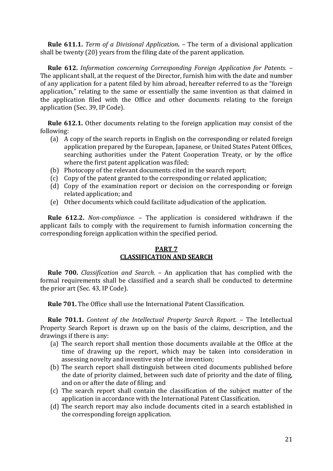**Rule 611.1.** *Term of a Divisional Application.* – The term of a divisional application shall be twenty (20) years from the filing date of the parent application.

 **Rule 612.** *Information concerning Corresponding Foreign Application for Patents.* – The applicant shall, at the request of the Director, furnish him with the date and number of any application for a patent filed by him abroad, hereafter referred to as the "foreign application," relating to the same or essentially the same invention as that claimed in the application filed with the Office and other documents relating to the foreign application (Sec. 39, IP Code).

 **Rule 612.1.** Other documents relating to the foreign application may consist of the following:

- (a) A copy of the search reports in English on the corresponding or related foreign application prepared by the European, Japanese, or United States Patent Offices, searching authorities under the Patent Cooperation Treaty, or by the office where the first patent application was filed;
- (b) Photocopy of the relevant documents cited in the search report;
- (c) Copy of the patent granted to the corresponding or related application;
- (d) Copy of the examination report or decision on the corresponding or foreign related application; and
- (e) Other documents which could facilitate adjudication of the application.

 **Rule 612.2.** *Non-compliance.* – The application is considered withdrawn if the applicant fails to comply with the requirement to furnish information concerning the corresponding foreign application within the specified period.

# **PART 7 CLASSIFICATION AND SEARCH**

 **Rule 700.** *Classification and Search.* – An application that has complied with the formal requirements shall be classified and a search shall be conducted to determine the prior art (Sec. 43, IP Code).

 **Rule 701.** The Office shall use the International Patent Classification.

 **Rule 701.1.** *Content of the Intellectual Property Search Report.* – The Intellectual Property Search Report is drawn up on the basis of the claims, description, and the drawings if there is any:

- (a) The search report shall mention those documents available at the Office at the time of drawing up the report, which may be taken into consideration in assessing novelty and inventive step of the invention;
- (b) The search report shall distinguish between cited documents published before the date of priority claimed, between such date of priority and the date of filing, and on or after the date of filing; and
- (c) The search report shall contain the classification of the subject matter of the application in accordance with the International Patent Classification.
- (d) The search report may also include documents cited in a search established in the corresponding foreign application.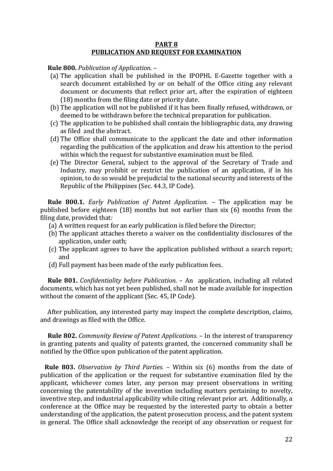#### **PART 8 PUBLICATION AND REQUEST FOR EXAMINATION**

 **Rule 800.** *Publication of Application.* –

- (a) The application shall be published in the IPOPHL E-Gazette together with a search document established by or on behalf of the Office citing any relevant document or documents that reflect prior art, after the expiration of eighteen (18) months from the filing date or priority date.
- (b) The application will not be published if it has been finally refused, withdrawn, or deemed to be withdrawn before the technical preparation for publication.
- (c) The application to be published shall contain the bibliographic data, any drawing as filed and the abstract.
- (d) The Office shall communicate to the applicant the date and other information regarding the publication of the application and draw his attention to the period within which the request for substantive examination must be filed.
- (e) The Director General, subject to the approval of the Secretary of Trade and Industry, may prohibit or restrict the publication of an application, if in his opinion, to do so would be prejudicial to the national security and interests of the Republic of the Philippines (Sec. 44.3, IP Code).

 **Rule 800.1.** *Early Publication of Patent Application. –* The application may be published before eighteen (18) months but not earlier than six (6) months from the filing date, provided that*:*

- (a) A written request for an early publication is filed before the Director;
- (b) The applicant attaches thereto a waiver on the confidentiality disclosures of the application, under oath;
- (c) The applicant agrees to have the application published without a search report; and
- (d) Full payment has been made of the early publication fees.

 **Rule 801.** *Confidentiality before Publication.* – An application, including all related documents, which has not yet been published, shall not be made available for inspection without the consent of the applicant (Sec. 45, IP Code).

 After publication, any interested party may inspect the complete description, claims, and drawings as filed with the Office.

 **Rule 802.** *Community Review of Patent Applications.* – In the interest of transparency in granting patents and quality of patents granted, the concerned community shall be notified by the Office upon publication of the patent application.

 **Rule 803.** *Observation by Third Parties.* – Within six (6) months from the date of publication of the application or the request for substantive examination filed by the applicant, whichever comes later, any person may present observations in writing concerning the patentability of the invention including matters pertaining to novelty, inventive step, and industrial applicability while citing relevant prior art. Additionally, a conference at the Office may be requested by the interested party to obtain a better understanding of the application, the patent prosecution process, and the patent system in general. The Office shall acknowledge the receipt of any observation or request for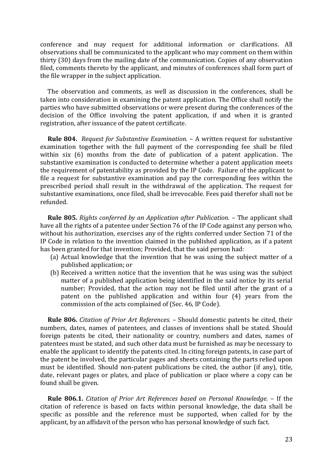conference and may request for additional information or clarifications. All observations shall be communicated to the applicant who may comment on them within thirty (30) days from the mailing date of the communication. Copies of any observation filed, comments thereto by the applicant, and minutes of conferences shall form part of the file wrapper in the subject application.

 The observation and comments, as well as discussion in the conferences, shall be taken into consideration in examining the patent application. The Office shall notify the parties who have submitted observations or were present during the conferences of the decision of the Office involving the patent application, if and when it is granted registration, after issuance of the patent certificate.

 **Rule 804.** *Request for Substantive Examination.* – A written request for substantive examination together with the full payment of the corresponding fee shall be filed within six (6) months from the date of publication of a patent application. The substantive examination is conducted to determine whether a patent application meets the requirement of patentability as provided by the IP Code. Failure of the applicant to file a request for substantive examination and pay the corresponding fees within the prescribed period shall result in the withdrawal of the application. The request for substantive examinations, once filed, shall be irrevocable. Fees paid therefor shall not be refunded.

 **Rule 805.** *Rights conferred by an Application after Publication.* – The applicant shall have all the rights of a patentee under Section 76 of the IP Code against any person who, without his authorization, exercises any of the rights conferred under Section 71 of the IP Code in relation to the invention claimed in the published application, as if a patent has been granted for that invention; Provided, that the said person had:

- (a) Actual knowledge that the invention that he was using the subject matter of a published application; or
- (b) Received a written notice that the invention that he was using was the subject matter of a published application being identified in the said notice by its serial number; Provided, that the action may not be filed until after the grant of a patent on the published application and within four (4) years from the commission of the acts complained of (Sec. 46, IP Code).

 **Rule 806.** *Citation of Prior Art References.* – Should domestic patents be cited, their numbers, dates, names of patentees, and classes of inventions shall be stated. Should foreign patents be cited, their nationality or country, numbers and dates, names of patentees must be stated, and such other data must be furnished as may be necessary to enable the applicant to identify the patents cited. In citing foreign patents, in case part of the patent be involved, the particular pages and sheets containing the parts relied upon must be identified. Should non-patent publications be cited, the author (if any), title, date, relevant pages or plates, and place of publication or place where a copy can be found shall be given.

 **Rule 806.1.** *Citation of Prior Art References based on Personal Knowledge.* – If the citation of reference is based on facts within personal knowledge, the data shall be specific as possible and the reference must be supported, when called for by the applicant, by an affidavit of the person who has personal knowledge of such fact.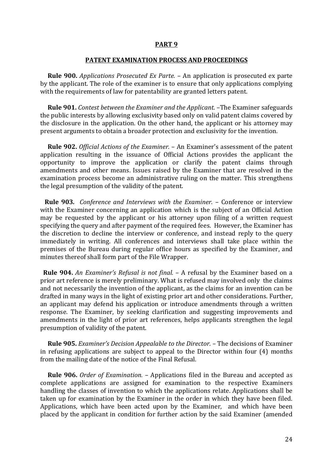## **PART 9**

#### **PATENT EXAMINATION PROCESS AND PROCEEDINGS**

 **Rule 900.** *Applications Prosecuted Ex Parte.* – An application is prosecuted ex parte by the applicant. The role of the examiner is to ensure that only applications complying with the requirements of law for patentability are granted letters patent.

 **Rule 901.** *Contest between the Examiner and the Applicant.* –The Examiner safeguards the public interests by allowing exclusivity based only on valid patent claims covered by the disclosure in the application. On the other hand, the applicant or his attorney may present arguments to obtain a broader protection and exclusivity for the invention.

 **Rule 902.** *Official Actions of the Examiner.* – An Examiner's assessment of the patent application resulting in the issuance of Official Actions provides the applicant the opportunity to improve the application or clarify the patent claims through amendments and other means. Issues raised by the Examiner that are resolved in the examination process become an administrative ruling on the matter. This strengthens the legal presumption of the validity of the patent.

 **Rule 903***. Conference and Interviews with the Examiner.* – Conference or interview with the Examiner concerning an application which is the subject of an Official Action may be requested by the applicant or his attorney upon filing of a written request specifying the query and after payment of the required fees. However, the Examiner has the discretion to decline the interview or conference, and instead reply to the query immediately in writing. All conferences and interviews shall take place within the premises of the Bureau during regular office hours as specified by the Examiner, and minutes thereof shall form part of the File Wrapper.

 **Rule 904.** *An Examiner's Refusal is not final.* – A refusal by the Examiner based on a prior art reference is merely preliminary. What is refused may involved only the claims and not necessarily the invention of the applicant, as the claims for an invention can be drafted in many ways in the light of existing prior art and other considerations. Further, an applicant may defend his application or introduce amendments through a written response. The Examiner, by seeking clarification and suggesting improvements and amendments in the light of prior art references, helps applicants strengthen the legal presumption of validity of the patent.

 **Rule 905.** *Examiner's Decision Appealable to the Director.* – The decisions of Examiner in refusing applications are subject to appeal to the Director within four (4) months from the mailing date of the notice of the Final Refusal.

 **Rule 906.** *Order of Examination.* – Applications filed in the Bureau and accepted as complete applications are assigned for examination to the respective Examiners handling the classes of invention to which the applications relate. Applications shall be taken up for examination by the Examiner in the order in which they have been filed. Applications, which have been acted upon by the Examiner, and which have been placed by the applicant in condition for further action by the said Examiner (amended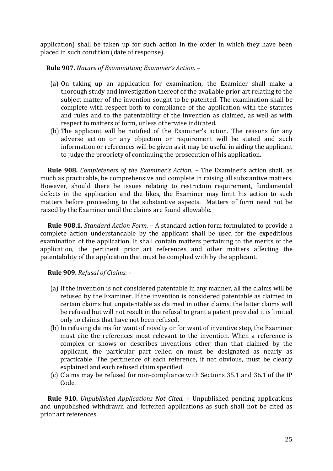application) shall be taken up for such action in the order in which they have been placed in such condition (date of response).

**Rule 907.** *Nature of Examination; Examiner's Action.* –

- (a) On taking up an application for examination, the Examiner shall make a thorough study and investigation thereof of the available prior art relating to the subject matter of the invention sought to be patented. The examination shall be complete with respect both to compliance of the application with the statutes and rules and to the patentability of the invention as claimed, as well as with respect to matters of form, unless otherwise indicated.
- (b) The applicant will be notified of the Examiner's action. The reasons for any adverse action or any objection or requirement will be stated and such information or references will be given as it may be useful in aiding the applicant to judge the propriety of continuing the prosecution of his application.

 **Rule 908.** *Completeness of the Examiner's Action.* – The Examiner's action shall, as much as practicable, be comprehensive and complete in raising all substantive matters. However, should there be issues relating to restriction requirement, fundamental defects in the application and the likes, the Examiner may limit his action to such matters before proceeding to the substantive aspects. Matters of form need not be raised by the Examiner until the claims are found allowable.

 **Rule 908.1.** *Standard Action Form.* – A standard action form formulated to provide a complete action understandable by the applicant shall be used for the expeditious examination of the application. It shall contain matters pertaining to the merits of the application, the pertinent prior art references and other matters affecting the patentability of the application that must be complied with by the applicant.

 **Rule 909.** *Refusal of Claims.* –

- (a) If the invention is not considered patentable in any manner, all the claims will be refused by the Examiner. If the invention is considered patentable as claimed in certain claims but unpatentable as claimed in other claims, the latter claims will be refused but will not result in the refusal to grant a patent provided it is limited only to claims that have not been refused.
- (b)In refusing claims for want of novelty or for want of inventive step, the Examiner must cite the references most relevant to the invention. When a reference is complex or shows or describes inventions other than that claimed by the applicant, the particular part relied on must be designated as nearly as practicable. The pertinence of each reference, if not obvious, must be clearly explained and each refused claim specified.
- (c) Claims may be refused for non-compliance with Sections 35.1 and 36.1 of the IP Code.

 **Rule 910.** *Unpublished Applications Not Cited.* – Unpublished pending applications and unpublished withdrawn and forfeited applications as such shall not be cited as prior art references.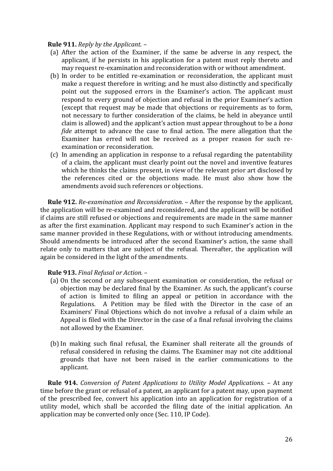#### **Rule 911.** *Reply by the Applicant.* –

- (a) After the action of the Examiner, if the same be adverse in any respect, the applicant, if he persists in his application for a patent must reply thereto and may request re-examination and reconsideration with or without amendment.
- (b) In order to be entitled re-examination or reconsideration, the applicant must make a request therefore in writing; and he must also distinctly and specifically point out the supposed errors in the Examiner's action. The applicant must respond to every ground of objection and refusal in the prior Examiner's action (except that request may be made that objections or requirements as to form, not necessary to further consideration of the claims, be held in abeyance until claim is allowed) and the applicant's action must appear throughout to be a *bona fide* attempt to advance the case to final action. The mere allegation that the Examiner has erred will not be received as a proper reason for such reexamination or reconsideration.
- (c) In amending an application in response to a refusal regarding the patentability of a claim, the applicant must clearly point out the novel and inventive features which he thinks the claims present, in view of the relevant prior art disclosed by the references cited or the objections made. He must also show how the amendments avoid such references or objections.

 **Rule 912.** *Re-examination and Reconsideration.* – After the response by the applicant, the application will be re-examined and reconsidered, and the applicant will be notified if claims are still refused or objections and requirements are made in the same manner as after the first examination. Applicant may respond to such Examiner's action in the same manner provided in these Regulations, with or without introducing amendments. Should amendments be introduced after the second Examiner's action, the same shall relate only to matters that are subject of the refusal. Thereafter, the application will again be considered in the light of the amendments.

# **Rule 913.** *Final Refusal or Action.* –

- (a) On the second or any subsequent examination or consideration, the refusal or objection may be declared final by the Examiner. As such, the applicant's course of action is limited to filing an appeal or petition in accordance with the Regulations. A Petition may be filed with the Director in the case of an Examiners' Final Objections which do not involve a refusal of a claim while an Appeal is filed with the Director in the case of a final refusal involving the claims not allowed by the Examiner.
- (b)In making such final refusal, the Examiner shall reiterate all the grounds of refusal considered in refusing the claims. The Examiner may not cite additional grounds that have not been raised in the earlier communications to the applicant.

 **Rule 914.** *Conversion of Patent Applications to Utility Model Applications.* – At any time before the grant or refusal of a patent, an applicant for a patent may, upon payment of the prescribed fee, convert his application into an application for registration of a utility model, which shall be accorded the filing date of the initial application. An application may be converted only once (Sec. 110, IP Code).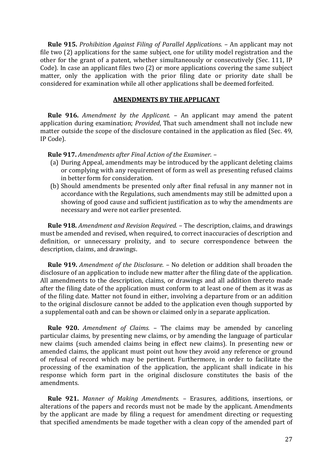**Rule 915.** *Prohibition Against Filing of Parallel Applications.* – An applicant may not file two (2) applications for the same subject, one for utility model registration and the other for the grant of a patent, whether simultaneously or consecutively (Sec. 111, IP Code). In case an applicant files two (2) or more applications covering the same subject matter, only the application with the prior filing date or priority date shall be considered for examination while all other applications shall be deemed forfeited.

#### **AMENDMENTS BY THE APPLICANT**

 **Rule 916.** *Amendment by the Applicant.* – An applicant may amend the patent application during examination; *Provided*, That such amendment shall not include new matter outside the scope of the disclosure contained in the application as filed (Sec. 49, IP Code).

 **Rule 917.** *Amendments after Final Action of the Examiner.* –

- (a) During Appeal, amendments may be introduced by the applicant deleting claims or complying with any requirement of form as well as presenting refused claims in better form for consideration.
- (b) Should amendments be presented only after final refusal in any manner not in accordance with the Regulations, such amendments may still be admitted upon a showing of good cause and sufficient justification as to why the amendments are necessary and were not earlier presented.

 **Rule 918.** *Amendment and Revision Required.* – The description, claims, and drawings must be amended and revised, when required, to correct inaccuracies of description and definition, or unnecessary prolixity, and to secure correspondence between the description, claims, and drawings.

 **Rule 919.** *Amendment of the Disclosure.* – No deletion or addition shall broaden the disclosure of an application to include new matter after the filing date of the application. All amendments to the description, claims, or drawings and all addition thereto made after the filing date of the application must conform to at least one of them as it was as of the filing date. Matter not found in either, involving a departure from or an addition to the original disclosure cannot be added to the application even though supported by a supplemental oath and can be shown or claimed only in a separate application.

 **Rule 920.** *Amendment of Claims.* – The claims may be amended by canceling particular claims, by presenting new claims, or by amending the language of particular new claims (such amended claims being in effect new claims). In presenting new or amended claims, the applicant must point out how they avoid any reference or ground of refusal of record which may be pertinent. Furthermore, in order to facilitate the processing of the examination of the application, the applicant shall indicate in his response which form part in the original disclosure constitutes the basis of the amendments.

 **Rule 921.** *Manner of Making Amendments.* – Erasures, additions, insertions, or alterations of the papers and records must not be made by the applicant. Amendments by the applicant are made by filing a request for amendment directing or requesting that specified amendments be made together with a clean copy of the amended part of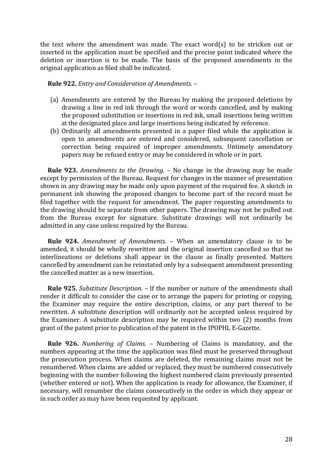the text where the amendment was made. The exact word(s) to be stricken out or inserted in the application must be specified and the precise point indicated where the deletion or insertion is to be made. The basis of the proposed amendments in the original application as filed shall be indicated.

 **Rule 922.** *Entry and Consideration of Amendments.* –

- (a) Amendments are entered by the Bureau by making the proposed deletions by drawing a line in red ink through the word or words cancelled, and by making the proposed substitution or insertions in red ink, small insertions being written at the designated place and large insertions being indicated by reference.
- (b) Ordinarily all amendments presented in a paper filed while the application is open to amendments are entered and considered, subsequent cancellation or correction being required of improper amendments. Untimely amendatory papers may be refused entry or may be considered in whole or in part.

 **Rule 923.** *Amendments to the Drawing.* – No change in the drawing may be made except by permission of the Bureau. Request for changes in the manner of presentation shown in any drawing may be made only upon payment of the required fee. A sketch in permanent ink showing the proposed changes to become part of the record must be filed together with the request for amendment. The paper requesting amendments to the drawing should be separate from other papers. The drawing may not be pulled out from the Bureau except for signature. Substitute drawings will not ordinarily be admitted in any case unless required by the Bureau.

 **Rule 924.** *Amendment of Amendments.* – When an amendatory clause is to be amended, it should be wholly rewritten and the original insertion cancelled so that no interlineations or deletions shall appear in the clause as finally presented. Matters cancelled by amendment can be reinstated only by a subsequent amendment presenting the cancelled matter as a new insertion.

 **Rule 925.** *Substitute Description.* – If the number or nature of the amendments shall render it difficult to consider the case or to arrange the papers for printing or copying, the Examiner may require the entire description, claims, or any part thereof to be rewritten. A substitute description will ordinarily not be accepted unless required by the Examiner. A substitute description may be required within two (2) months from grant of the patent prior to publication of the patent in the IPOPHL E-Gazette.

 **Rule 926.** *Numbering of Claims.* – Numbering of Claims is mandatory, and the numbers appearing at the time the application was filed must be preserved throughout the prosecution process. When claims are deleted, the remaining claims must not be renumbered. When claims are added or replaced, they must be numbered consecutively beginning with the number following the highest numbered claim previously presented (whether entered or not). When the application is ready for allowance, the Examiner, if necessary, will renumber the claims consecutively in the order in which they appear or in such order as may have been requested by applicant.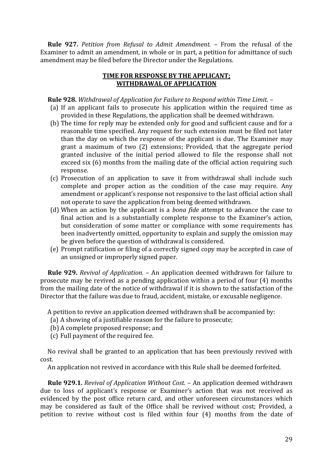**Rule 927.** *Petition from Refusal to Admit Amendment.* – From the refusal of the Examiner to admit an amendment, in whole or in part, a petition for admittance of such amendment may be filed before the Director under the Regulations.

# **TIME FOR RESPONSE BY THE APPLICANT; WITHDRAWAL OF APPLICATION**

# **Rule 928.** *Withdrawal of Application for Failure to Respond within Time Limit.* –

- (a) If an applicant fails to prosecute his application within the required time as provided in these Regulations, the application shall be deemed withdrawn.
- (b) The time for reply may be extended only for good and sufficient cause and for a reasonable time specified. Any request for such extension must be filed not later than the day on which the response of the applicant is due. The Examiner may grant a maximum of two (2) extensions; Provided, that the aggregate period granted inclusive of the initial period allowed to file the response shall not exceed six (6) months from the mailing date of the official action requiring such response.
- (c) Prosecution of an application to save it from withdrawal shall include such complete and proper action as the condition of the case may require. Any amendment or applicant's response not responsive to the last official action shall not operate to save the application from being deemed withdrawn.
- (d) When an action by the applicant is a *bona fide* attempt to advance the case to final action and is a substantially complete response to the Examiner's action, but consideration of some matter or compliance with some requirements has been inadvertently omitted, opportunity to explain and supply the omission may be given before the question of withdrawal is considered.
- (e) Prompt ratification or filing of a correctly signed copy may be accepted in case of an unsigned or improperly signed paper.

 **Rule 929.** *Revival of Application.* – An application deemed withdrawn for failure to prosecute may be revived as a pending application within a period of four (4) months from the mailing date of the notice of withdrawal if it is shown to the satisfaction of the Director that the failure was due to fraud, accident, mistake, or excusable negligence.

A petition to revive an application deemed withdrawn shall be accompanied by:

- (a) A showing of a justifiable reason for the failure to prosecute;
- (b) A complete proposed response; and
- (c) Full payment of the required fee.

 No revival shall be granted to an application that has been previously revived with cost.

An application not revived in accordance with this Rule shall be deemed forfeited.

 **Rule 929.1.** *Revival of Application Without Cost.* – An application deemed withdrawn due to loss of applicant's response or Examiner's action that was not received as evidenced by the post office return card, and other unforeseen circumstances which may be considered as fault of the Office shall be revived without cost; Provided, a petition to revive without cost is filed within four (4) months from the date of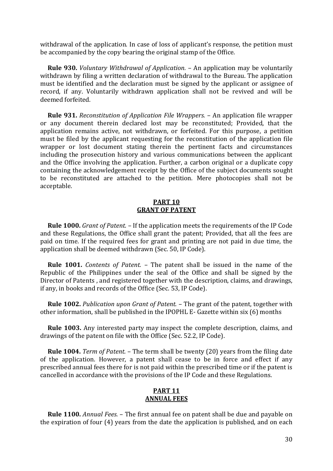withdrawal of the application. In case of loss of applicant's response, the petition must be accompanied by the copy bearing the original stamp of the Office.

 **Rule 930.** *Voluntary Withdrawal of Application.* – An application may be voluntarily withdrawn by filing a written declaration of withdrawal to the Bureau. The application must be identified and the declaration must be signed by the applicant or assignee of record, if any. Voluntarily withdrawn application shall not be revived and will be deemed forfeited.

 **Rule 931.** *Reconstitution of Application File Wrappers.* – An application file wrapper or any document therein declared lost may be reconstituted; Provided, that the application remains active, not withdrawn, or forfeited. For this purpose, a petition must be filed by the applicant requesting for the reconstitution of the application file wrapper or lost document stating therein the pertinent facts and circumstances including the prosecution history and various communications between the applicant and the Office involving the application. Further, a carbon original or a duplicate copy containing the acknowledgement receipt by the Office of the subject documents sought to be reconstituted are attached to the petition. Mere photocopies shall not be acceptable.

#### **PART 10 GRANT OF PATENT**

 **Rule 1000.** *Grant of Patent.* – If the application meets the requirements of the IP Code and these Regulations, the Office shall grant the patent; Provided, that all the fees are paid on time. If the required fees for grant and printing are not paid in due time, the application shall be deemed withdrawn (Sec. 50, IP Code).

 **Rule 1001.** *Contents of Patent.* – The patent shall be issued in the name of the Republic of the Philippines under the seal of the Office and shall be signed by the Director of Patents , and registered together with the description, claims, and drawings, if any, in books and records of the Office (Sec. 53, IP Code).

 **Rule 1002.** *Publication upon Grant of Patent.* – The grant of the patent, together with other information, shall be published in the IPOPHL E- Gazette within six (6) months

 **Rule 1003.** Any interested party may inspect the complete description, claims, and drawings of the patent on file with the Office (Sec. 52.2, IP Code).

 **Rule 1004.** *Term of Patent.* – The term shall be twenty (20) years from the filing date of the application. However, a patent shall cease to be in force and effect if any prescribed annual fees there for is not paid within the prescribed time or if the patent is cancelled in accordance with the provisions of the IP Code and these Regulations.

# **PART 11 ANNUAL FEES**

 **Rule 1100.** *Annual Fees.* – The first annual fee on patent shall be due and payable on the expiration of four (4) years from the date the application is published, and on each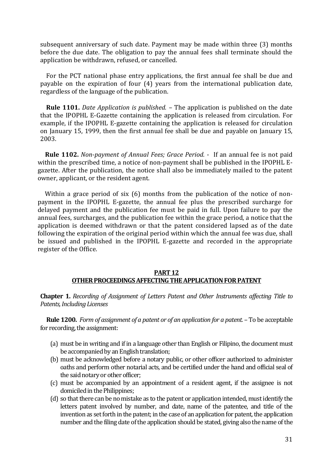subsequent anniversary of such date. Payment may be made within three (3) months before the due date. The obligation to pay the annual fees shall terminate should the application be withdrawn, refused, or cancelled.

 For the PCT national phase entry applications, the first annual fee shall be due and payable on the expiration of four (4) years from the international publication date, regardless of the language of the publication.

 **Rule 1101.** *Date Application is published.* – The application is published on the date that the IPOPHL E-Gazette containing the application is released from circulation. For example, if the IPOPHL E-gazette containing the application is released for circulation on January 15, 1999, then the first annual fee shall be due and payable on January 15, 2003.

 **Rule 1102.** *Non-payment of Annual Fees; Grace Period.* - If an annual fee is not paid within the prescribed time, a notice of non-payment shall be published in the IPOPHL Egazette. After the publication, the notice shall also be immediately mailed to the patent owner, applicant, or the resident agent.

Within a grace period of six (6) months from the publication of the notice of nonpayment in the IPOPHL E-gazette, the annual fee plus the prescribed surcharge for delayed payment and the publication fee must be paid in full. Upon failure to pay the annual fees, surcharges, and the publication fee within the grace period, a notice that the application is deemed withdrawn or that the patent considered lapsed as of the date following the expiration of the original period within which the annual fee was due, shall be issued and published in the IPOPHL E-gazette and recorded in the appropriate register of the Office.

## **PART 12 OTHER PROCEEDINGS AFFECTING THE APPLICATION FOR PATENT**

**Chapter 1.** *Recording of Assignment of Letters Patent and Other Instruments affecting Title to Patents,Including Licenses*

 **Rule 1200.** *Form of assignment of a patent or of an application for a patent.* – To be acceptable for recording, the assignment:

- (a) must be in writing and if in a language other than English or Filipino, the document must be accompanied by an English translation;
- (b) must be acknowledged before a notary public, or other officer authorized to administer oaths and perform other notarial acts, and be certified under the hand and official seal of the said notary or other officer;
- (c) must be accompanied by an appointment of a resident agent, if the assignee is not domiciled in the Philippines;
- (d) so that there can be no mistake as to the patent or application intended, must identify the letters patent involved by number, and date, name of the patentee, and title of the invention as set forth in the patent; in the case of an application for patent, the application number and the filing date of the application should be stated, giving also the name of the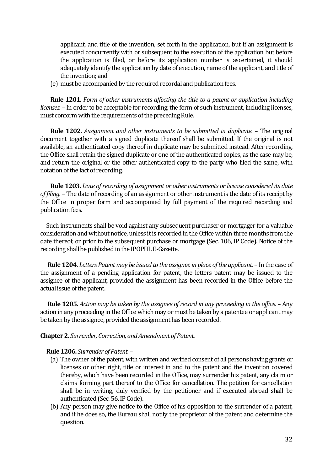applicant, and title of the invention, set forth in the application, but if an assignment is executed concurrently with or subsequent to the execution of the application but before the application is filed, or before its application number is ascertained, it should adequately identify the application by date of execution, name of the applicant, and title of the invention; and

(e) must be accompanied by the required recordal and publication fees.

**Rule 1201.** *Form of other instruments affecting the title to a patent or application including licenses.* – In order to be acceptable for recording, the form of such instrument, including licenses, must conform with the requirements of the preceding Rule.

**Rule 1202.** *Assignment and other instruments to be submitted in duplicate.* – The original document together with a signed duplicate thereof shall be submitted. If the original is not available, an authenticated copy thereof in duplicate may be submitted instead. After recording, the Office shall retain the signed duplicate or one of the authenticated copies, as the case may be, and return the original or the other authenticated copy to the party who filed the same, with notation of the fact of recording.

**Rule 1203.** *Date of recording of assignment or other instruments or license considered its date of filing.* – The date of recording of an assignment or other instrument is the date of its receipt by the Office in proper form and accompanied by full payment of the required recording and publication fees.

 Such instruments shall be void against any subsequent purchaser or mortgager for a valuable consideration and without notice, unless it is recorded in the Office within three months from the date thereof, or prior to the subsequent purchase or mortgage (Sec. 106, IP Code). Notice of the recording shall be published in the IPOPHL E-Gazette.

 **Rule 1204.** *Letters Patent may be issued to the assignee in place of the applicant.* – In the case of the assignment of a pending application for patent, the letters patent may be issued to the assignee of the applicant, provided the assignment has been recorded in the Office before the actual issue of the patent.

 **Rule 1205.** *Action may be taken by the assignee of record in any proceeding in the office.* – Any action in any proceeding in the Office which may or must be taken by a patentee or applicant may be taken by the assignee, provided the assignment has been recorded.

#### **Chapter 2.** *Surrender, Correction, and Amendment of Patent.*

#### **Rule 1206.** *Surrender of Patent.* –

- (a) The owner of the patent, with written and verified consent of all persons having grants or licenses or other right, title or interest in and to the patent and the invention covered thereby, which have been recorded in the Office, may surrender his patent, any claim or claims forming part thereof to the Office for cancellation. The petition for cancellation shall be in writing, duly verified by the petitioner and if executed abroad shall be authenticated (Sec. 56, IP Code).
- (b) Any person may give notice to the Office of his opposition to the surrender of a patent, and if he does so, the Bureau shall notify the proprietor of the patent and determine the question.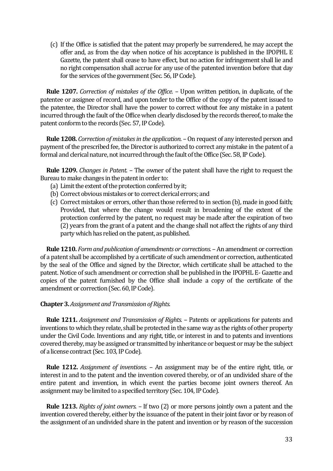(c) If the Office is satisfied that the patent may properly be surrendered, he may accept the offer and, as from the day when notice of his acceptance is published in the IPOPHL E Gazette, the patent shall cease to have effect, but no action for infringement shall lie and no right compensation shall accrue for any use of the patented invention before that day for the services of the government (Sec. 56, IP Code).

 **Rule 1207.** *Correction of mistakes of the Office.* – Upon written petition, in duplicate, of the patentee or assignee of record, and upon tender to the Office of the copy of the patent issued to the patentee, the Director shall have the power to correct without fee any mistake in a patent incurred through the fault of the Office when clearly disclosed by the records thereof, to make the patent conform to the records (Sec. 57,IP Code).

 **Rule 1208.** *Correction of mistakes in the application.* – On request of any interested person and payment of the prescribed fee, the Director is authorized to correct any mistake in the patent of a formal and clerical nature, not incurred through the fault of the Office (Sec. 58, IP Code).

 **Rule 1209.** *Changes in Patent.* – The owner of the patent shall have the right to request the Bureau to make changes in the patent in order to:

- (a) Limit the extent of the protection conferred by it;
- (b) Correct obvious mistakes or to correct clerical errors; and
- (c) Correct mistakes or errors, other than those referred to in section (b), made in good faith; Provided, that where the change would result in broadening of the extent of the protection conferred by the patent, no request may be made after the expiration of two (2) years from the grant of a patent and the change shall not affect the rights of any third party which has relied on the patent, as published.

 **Rule 1210.** *Form and publication of amendments or corrections.* –An amendment or correction of a patent shall be accomplished by a certificate of such amendment or correction, authenticated by the seal of the Office and signed by the Director, which certificate shall be attached to the patent. Notice of such amendment or correction shall be published in the IPOPHL E- Gazette and copies of the patent furnished by the Office shall include a copy of the certificate of the amendment or correction (Sec. 60, IP Code).

## **Chapter 3.** *Assignment and Transmission of Rights.*

 **Rule 1211.** *Assignment and Transmission of Rights.* – Patents or applications for patents and inventions to which they relate, shall be protected in the same way as the rights of other property under the Civil Code. Inventions and any right, title, or interest in and to patents and inventions covered thereby, may be assigned or transmitted by inheritance or bequest or may be the subject of a license contract (Sec. 103, IP Code).

 **Rule 1212.** *Assignment of inventions.* – An assignment may be of the entire right, title, or interest in and to the patent and the invention covered thereby, or of an undivided share of the entire patent and invention, in which event the parties become joint owners thereof. An assignment may be limited to a specified territory (Sec. 104, IP Code).

 **Rule 1213.** *Rights of joint owners.* – If two (2) or more persons jointly own a patent and the invention covered thereby, either by the issuance of the patent in their joint favor or by reason of the assignment of an undivided share in the patent and invention or by reason of the succession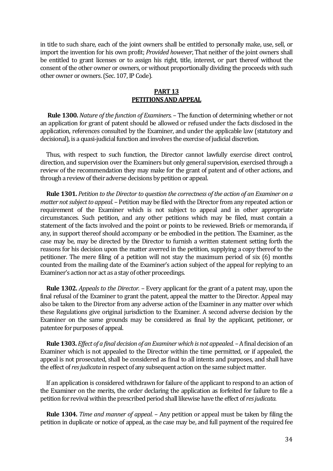in title to such share, each of the joint owners shall be entitled to personally make, use, sell, or import the invention for his own profit; *Provided however*, That neither of the joint owners shall be entitled to grant licenses or to assign his right, title, interest, or part thereof without the consent of the other owner or owners, or without proportionally dividing the proceeds with such other owner or owners. (Sec. 107, IP Code).

# **PART 13 PETITIONS AND APPEAL**

 **Rule 1300.** *Nature of the function of Examiners.* – The function of determining whether or not an application for grant of patent should be allowed or refused under the facts disclosed in the application, references consulted by the Examiner, and under the applicable law (statutory and decisional), is a quasi-judicial function and involves the exercise of judicial discretion.

 Thus, with respect to such function, the Director cannot lawfully exercise direct control, direction, and supervision over the Examiners but only general supervision, exercised through a review of the recommendation they may make for the grant of patent and of other actions, and through a review of their adverse decisions by petition or appeal.

 **Rule 1301.** *Petition to the Director to question the correctness of the action of an Examiner on a matter not subject to appeal.* – Petition may be filed with the Director from any repeated action or requirement of the Examiner which is not subject to appeal and in other appropriate circumstances. Such petition, and any other petitions which may be filed, must contain a statement of the facts involved and the point or points to be reviewed. Briefs or memoranda, if any, in support thereof should accompany or be embodied in the petition. The Examiner, as the case may be, may be directed by the Director to furnish a written statement setting forth the reasons for his decision upon the matter averred in the petition, supplying a copy thereof to the petitioner. The mere filing of a petition will not stay the maximum period of six (6) months counted from the mailing date of the Examiner's action subject of the appeal for replying to an Examiner's action nor act as a stay of other proceedings.

 **Rule 1302.** *Appeals to the Director.* – Every applicant for the grant of a patent may, upon the final refusal of the Examiner to grant the patent, appeal the matter to the Director. Appeal may also be taken to the Director from any adverse action of the Examiner in any matter over which these Regulations give original jurisdiction to the Examiner. A second adverse decision by the Examiner on the same grounds may be considered as final by the applicant, petitioner, or patentee for purposes of appeal.

 **Rule 1303.** *Effect of a final decision of an Examiner which is not appealed.* –A final decision of an Examiner which is not appealed to the Director within the time permitted, or if appealed, the appeal is not prosecuted, shall be considered as final to all intents and purposes, and shall have the effect of *res judicata* in respect of any subsequent action on the same subject matter.

 If an application is considered withdrawn for failure of the applicant to respond to an action of the Examiner on the merits, the order declaring the application as forfeited for failure to file a petition for revival within the prescribed period shall likewise have the effect of *res judicata.*

 **Rule 1304.** *Time and manner of appeal.* – Any petition or appeal must be taken by filing the petition in duplicate or notice of appeal, as the case may be, and full payment of the required fee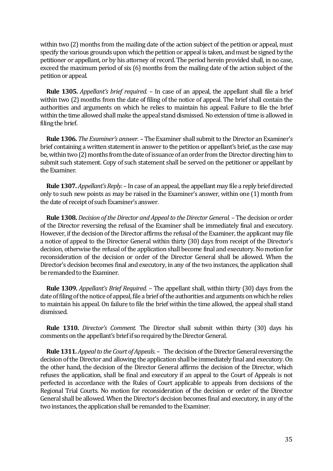within two (2) months from the mailing date of the action subject of the petition or appeal, must specify the various grounds upon which the petition or appeal is taken, and must be signed by the petitioner or appellant, or by his attorney of record. The period herein provided shall, in no case, exceed the maximum period of six (6) months from the mailing date of the action subject of the petition or appeal.

 **Rule 1305.** *Appellant's brief required.* – In case of an appeal, the appellant shall file a brief within two (2) months from the date of filing of the notice of appeal. The brief shall contain the authorities and arguments on which he relies to maintain his appeal. Failure to file the brief within the time allowed shall make the appeal stand dismissed. No extension of time is allowed in filing the brief.

 **Rule 1306.** *The Examiner's answer.* – The Examiner shall submit to the Director an Examiner's brief containing a written statement in answer to the petition or appellant's brief, as the case may be, within two (2) months from the date of issuance of an order from the Director directing himto submit such statement. Copy of such statement shall be served on the petitioner or appellant by the Examiner.

 **Rule 1307.** *Appellant's Reply.* – In case of an appeal, the appellant may file a reply brief directed only to such new points as may be raised in the Examiner's answer, within one (1) month from the date of receipt of such Examiner's answer.

 **Rule 1308.** *Decision of the Director and Appeal to the Director General.* – The decision or order of the Director reversing the refusal of the Examiner shall be immediately final and executory. However, if the decision of the Director affirms the refusal of the Examiner, the applicant may file a notice of appeal to the Director General within thirty (30) days from receipt of the Director's decision, otherwise the refusal of the application shall become final and executory. No motion for reconsideration of the decision or order of the Director General shall be allowed. When the Director's decision becomes final and executory, in any of the two instances, the application shall be remanded to the Examiner.

 **Rule 1309.** *Appellant's Brief Required.* – The appellant shall, within thirty (30) days from the date of filing of the notice of appeal, file a brief of the authorities and arguments on which he relies to maintain his appeal. On failure to file the brief within the time allowed, the appeal shall stand dismissed.

 **Rule 1310.** *Director's Comment.* The Director shall submit within thirty (30) days his comments on the appellant's brief if so required by the Director General.

 **Rule 1311.** *Appeal to the Court of Appeals.* – The decision of the Director General reversing the decision of the Director and allowing the application shall be immediately final and executory. On the other hand, the decision of the Director General affirms the decision of the Director, which refuses the application, shall be final and executory if an appeal to the Court of Appeals is not perfected in accordance with the Rules of Court applicable to appeals from decisions of the Regional Trial Courts. No motion for reconsideration of the decision or order of the Director General shall be allowed. When the Director's decision becomes final and executory, in any of the two instances, the application shall be remanded to the Examiner.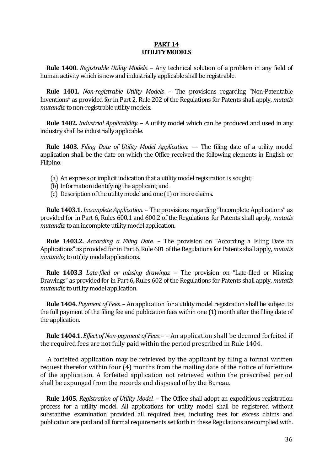#### **PART 14 UTILITY MODELS**

 **Rule 1400.** *Registrable Utility Models.* – Any technical solution of a problem in any field of human activity which is new and industrially applicable shall be registrable.

 **Rule 1401.** *Non-registrable Utility Models.* – The provisions regarding "Non-Patentable Inventions" as provided for in Part 2, Rule 202 of the Regulations for Patents shall apply, *mutatis mutandis,*to non-registrable utility models.

 **Rule 1402.** *Industrial Applicability.* – A utility model which can be produced and used in any industry shall be industrially applicable.

 **Rule 1403.** *Filing Date of Utility Model Application.* — The filing date of a utility model application shall be the date on which the Office received the following elements in English or Filipino:

- (a) An express or implicit indication that a utility model registration is sought;
- (b) Information identifying the applicant; and
- (c) Description of the utility model and one (1) or more claims.

 **Rule 1403.1.** *Incomplete Application.* – The provisions regarding "Incomplete Applications" as provided for in Part 6, Rules 600.1 and 600.2 of the Regulations for Patents shall apply, *mutatis mutandis,* to an incomplete utility model application.

 **Rule 1403.2.** *According a Filing Date.* – The provision on "According a Filing Date to Applications" as provided for in Part 6, Rule 601 of the Regulations for Patents shall apply, *mutatis mutandis,* to utility model applications.

 **Rule 1403.3** *Late-filed or missing drawings.* – The provision on "Late-filed or Missing Drawings" as provided for in Part 6, Rules 602 of the Regulations for Patents shall apply, *mutatis mutandis,* to utility model application.

 **Rule 1404.** *Payment of Fees.* – An application for a utility model registration shall be subject to the full payment of the filing fee and publication fees within one (1) month after the filing date of the application.

 **Rule 1404.1.** *Effect of Non-payment of Fees.* – – An application shall be deemed forfeited if the required fees are not fully paid within the period prescribed in Rule 1404.

 A forfeited application may be retrieved by the applicant by filing a formal written request therefor within four (4) months from the mailing date of the notice of forfeiture of the application. A forfeited application not retrieved within the prescribed period shall be expunged from the records and disposed of by the Bureau.

 **Rule 1405.** *Registration of Utility Model.* – The Office shall adopt an expeditious registration process for a utility model. All applications for utility model shall be registered without substantive examination provided all required fees, including fees for excess claims and publication are paid and all formal requirements set forth in these Regulations are complied with.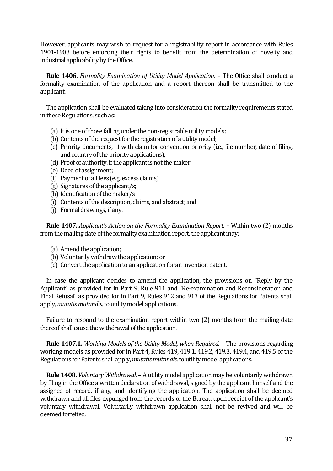However, applicants may wish to request for a registrability report in accordance with Rules 1901-1903 before enforcing their rights to benefit from the determination of novelty and industrial applicability by the Office.

**Rule 1406.** *Formality Examination of Utility Model Application.* -The Office shall conduct a formality examination of the application and a report thereon shall be transmitted to the applicant.

 The application shall be evaluated taking into consideration the formality requirements stated in these Regulations, such as:

- (a) It is one of those falling under the non-registrable utility models;
- (b) Contents of the request for the registration of a utility model;
- (c) Priority documents, if with claim for convention priority (i.e., file number, date of filing, and country of the priority applications);
- (d) Proof of authority, if the applicant is not the maker;
- (e) Deed of assignment;
- (f) Payment of all fees (e.g. excess claims)
- (g) Signatures of the applicant/s;
- (h) Identification of the maker/s
- (i) Contents of the description, claims, and abstract; and
- (j) Formal drawings, if any.

 **Rule 1407.** *Applicant's Action on the Formality Examination Report.* – Within two (2) months from the mailing date of the formality examination report, the applicant may:

- (a) Amend the application;
- (b) Voluntarily withdraw the application; or
- (c) Convert the application to an application for an invention patent.

 In case the applicant decides to amend the application, the provisions on "Reply by the Applicant" as provided for in Part 9, Rule 911 and "Re-examination and Reconsideration and Final Refusal" as provided for in Part 9, Rules 912 and 913 of the Regulations for Patents shall apply, *mutatis mutandis,* to utility model applications.

 Failure to respond to the examination report within two (2) months from the mailing date thereof shall cause the withdrawal of the application.

 **Rule 1407.1.** *Working Models of the Utility Model, when Required.* – The provisions regarding working models as provided for in Part 4, Rules 419, 419.1, 419.2, 419.3, 419.4, and 419.5 of the Regulations for Patents shall apply, *mutatis mutandis,* to utility model applications.

 **Rule 1408.** *Voluntary Withdrawal.* – A utility model application may be voluntarily withdrawn by filing in the Office a written declaration of withdrawal, signed by the applicant himself and the assignee of record, if any, and identifying the application. The application shall be deemed withdrawn and all files expunged from the records of the Bureau upon receipt of the applicant's voluntary withdrawal. Voluntarily withdrawn application shall not be revived and will be deemed forfeited.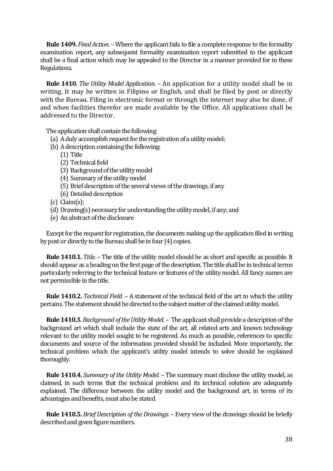**Rule 1409.** *Final Action.* – Where the applicant fails to file a complete response to the formality examination report, any subsequent formality examination report submitted to the applicant shall be a final action which may be appealed to the Director in a manner provided for in these Regulations.

 **Rule 1410.** *The Utility Model Application.* – An application for a utility model shall be in writing. It may be written in Filipino or English, and shall be filed by post or directly with the Bureau. Filing in electronic format or through the internet may also be done, if and when facilities therefor are made available by the Office. All applications shall be addressed to the Director.

The application shall contain the following:

- (a) A duly accomplish request for the registration of a utility model;
- (b) A description containing the following:
	- (1) Title
	- (2) Technical field
	- (3) Background of the utility model
	- (4) Summary of the utility model
	- (5) Brief description of the several views of the drawings, if any
	- (6) Detailed description
- $(c)$  Claim $(s)$ ;
- (d) Drawing(s) necessary for understanding the utility model, if any; and
- (e) An abstract of the disclosure

 Except for the request for registration, the documents making up the application filed in writing by post or directly to the Bureau shall be in four (4) copies.

 **Rule 1410.1.** *Title.* – The title of the utility model should be as short and specific as possible. It should appear as a heading on the first page of the description. The title shall be in technical terms particularly referring to the technical feature or features of the utility model. All fancy names are not permissible in the title.

 **Rule 1410.2.** *Technical Field.* – A statement of the technical field of the art to which the utility pertains. The statement should be directed to the subject matter of the claimed utility model.

 **Rule 1410.3.** *Background of the Utility Model.* – The applicant shall provide a description of the background art which shall include the state of the art, all related arts and known technology relevant to the utility model sought to be registered. As much as possible, references to specific documents and source of the information provided should be included. More importantly, the technical problem which the applicant's utility model intends to solve should be explained thoroughly.

 **Rule 1410.4.** *Summary of the Utility Model.* – The summary must disclose the utility model, as claimed, in such terms that the technical problem and its technical solution are adequately explained. The difference between the utility model and the background art, in terms of its advantages and benefits, must also be stated.

 **Rule 1410.5.** *Brief Description of the Drawings.* – Every view of the drawings should be briefly described and given figure numbers.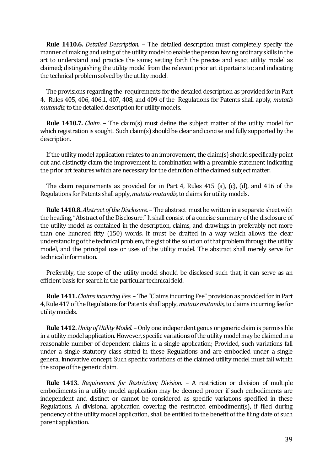**Rule 1410.6.** *Detailed Description.* – The detailed description must completely specify the manner of making and using of the utility model to enable the person having ordinary skills in the art to understand and practice the same; setting forth the precise and exact utility model as claimed; distinguishing the utility model from the relevant prior art it pertains to; and indicating the technical problem solved by the utility model.

 The provisions regarding the requirements for the detailed description as provided for in Part 4, Rules 405, 406, 406.1, 407, 408, and 409 of the Regulations for Patents shall apply, *mutatis mutandis,* to the detailed description for utility models.

 **Rule 1410.7.** *Claim.* – The claim(s) must define the subject matter of the utility model for which registration is sought. Such claim(s) should be clear and concise and fully supported by the description.

 If the utility model application relates to an improvement, the claim(s) should specifically point out and distinctly claim the improvement in combination with a preamble statement indicating the prior art features which are necessary for the definition of the claimed subject matter.

 The claim requirements as provided for in Part 4, Rules 415 (a), (c), (d), and 416 of the Regulations for Patents shall apply, *mutatis mutandis,* to claims for utility models.

 **Rule 1410.8.** *Abstract of the Disclosure.* –The abstract must be written in a separate sheet with the heading, "Abstract of the Disclosure." It shall consist of a concise summary of the disclosure of the utility model as contained in the description, claims, and drawings in preferably not more than one hundred fifty (150) words. It must be drafted in a way which allows the clear understanding of the technical problem, the gist of the solution of that problem through the utility model, and the principal use or uses of the utility model. The abstract shall merely serve for technical information.

 Preferably, the scope of the utility model should be disclosed such that, it can serve as an efficient basis for search in the particular technical field.

 **Rule 1411.** *Claims incurring Fee.* – The "Claims incurring Fee" provision as provided for in Part 4, Rule 417 of the Regulations for Patents shall apply, *mutatis mutandis,* to claims incurring fee for utility models.

**Rule 1412.** *Unity of Utility Model.* – Only one independent genus or generic claim is permissible in a utility model application. However, specific variations of the utility model may be claimed in a reasonable number of dependent claims in a single application; Provided, such variations fall under a single statutory class stated in these Regulations and are embodied under a single general innovative concept. Such specific variations of the claimed utility model must fall within the scope of the generic claim.

 **Rule 1413.** *Requirement for Restriction; Division.* – A restriction or division of multiple embodiments in a utility model application may be deemed proper if such embodiments are independent and distinct or cannot be considered as specific variations specified in these Regulations. A divisional application covering the restricted embodiment(s), if filed during pendency of the utility model application, shall be entitled to the benefit of the filing date of such parent application.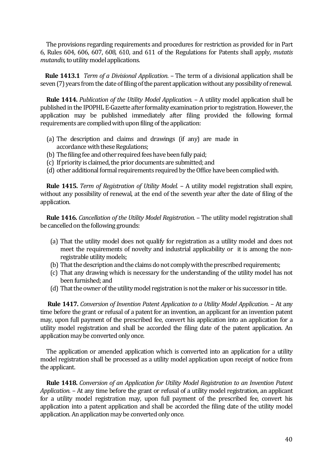The provisions regarding requirements and procedures for restriction as provided for in Part 6, Rules 604, 606, 607, 608, 610, and 611 of the Regulations for Patents shall apply, *mutatis mutandis,* to utility model applications.

 **Rule 1413.1** *Term of a Divisional Application*. – The term of a divisional application shall be seven (7) years from the date of filing of the parent application without any possibility of renewal.

 **Rule 1414.** *Publication of the Utility Model Application.* – A utility model application shall be published in the IPOPHL E-Gazette after formality examination prior to registration. However, the application may be published immediately after filing provided the following formal requirements are complied with upon filing of the application:

- (a) The description and claims and drawings (if any) are made in accordance with these Regulations;
- (b) The filing fee and other required fees have been fully paid;
- (c) If priority is claimed, the prior documents are submitted; and
- (d) other additional formal requirements required by the Office have been complied with.

 **Rule 1415.** *Term of Registration of Utility Model.* – A utility model registration shall expire, without any possibility of renewal, at the end of the seventh year after the date of filing of the application.

 **Rule 1416.** *Cancellation of the Utility Model Registration.* – The utility model registration shall be cancelled on the following grounds:

- (a) That the utility model does not qualify for registration as a utility model and does not meet the requirements of novelty and industrial applicability or it is among the nonregistrable utility models;
- (b) That the description and the claims do not comply with the prescribed requirements;
- (c) That any drawing which is necessary for the understanding of the utility model has not been furnished; and
- (d) That the owner of the utility model registration is not the maker or his successor in title.

 **Rule 1417.** *Conversion of Invention Patent Application to a Utility Model Application.* – At any time before the grant or refusal of a patent for an invention, an applicant for an invention patent may, upon full payment of the prescribed fee, convert his application into an application for a utility model registration and shall be accorded the filing date of the patent application. An application may be converted only once.

 The application or amended application which is converted into an application for a utility model registration shall be processed as a utility model application upon receipt of notice from the applicant.

 **Rule 1418.** *Conversion of an Application for Utility Model Registration to an Invention Patent Application.* – At any time before the grant or refusal of a utility model registration, an applicant for a utility model registration may, upon full payment of the prescribed fee, convert his application into a patent application and shall be accorded the filing date of the utility model application. An application may be converted only once.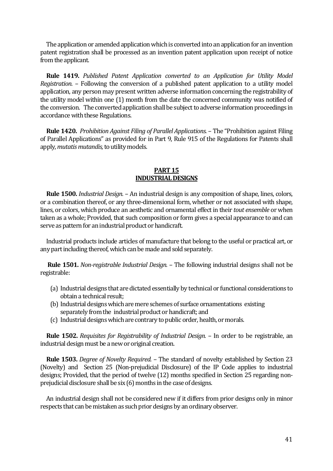The application or amended application which is converted into an application for an invention patent registration shall be processed as an invention patent application upon receipt of notice from the applicant.

 **Rule 1419.** *Published Patent Application converted to an Application for Utility Model Registration.* – Following the conversion of a published patent application to a utility model application, any person may present written adverse information concerning the registrability of the utility model within one (1) month from the date the concerned community was notified of the conversion. The converted application shall be subject to adverse information proceedings in accordance with these Regulations.

 **Rule 1420.** *Prohibition Against Filing of Parallel Applications.* – The "Prohibition against Filing of Parallel Applications" as provided for in Part 9, Rule 915 of the Regulations for Patents shall apply, *mutatis mutandis,* to utility models.

#### **PART 15 INDUSTRIAL DESIGNS**

 **Rule 1500.** *Industrial Design.* – An industrial design is any composition of shape, lines, colors, or a combination thereof, or any three-dimensional form, whether or not associated with shape, lines, or colors, which produce an aesthetic and ornamental effect in their *tout ensemble* or when taken as a whole; Provided, that such composition or form gives a special appearance to and can serve as pattern for an industrial product or handicraft.

 Industrial products include articles of manufacture that belong to the useful or practical art, or any part including thereof, which can be made and sold separately.

 **Rule 1501.** *Non-registrable Industrial Design.* – The following industrial designs shall not be registrable:

- (a) Industrial designs that are dictated essentially by technical or functional considerations to obtain a technical result;
- (b) Industrial designs which are mere schemes of surface ornamentations existing separately from the industrial product or handicraft; and
- (c) Industrial designs which are contrary to public order, health, or morals.

 **Rule 1502.** *Requisites for Registrability of Industrial Design.* – In order to be registrable, an industrial design must be a new or original creation.

 **Rule 1503.** *Degree of Novelty Required.* – The standard of novelty established by Section 23 (Novelty) and Section 25 (Non-prejudicial Disclosure) of the IP Code applies to industrial designs; Provided, that the period of twelve (12) months specified in Section 25 regarding nonprejudicial disclosure shall be six (6) months in the case of designs.

 An industrial design shall not be considered new if it differs from prior designs only in minor respects that can be mistaken as such prior designs by an ordinary observer.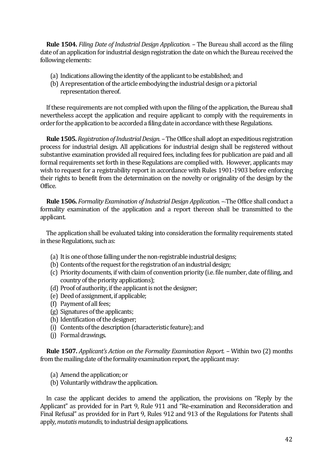**Rule 1504.** *Filing Date of Industrial Design Application.* – The Bureau shall accord as the filing date of an application for industrial design registration the date on which the Bureau received the following elements:

- (a) Indications allowing the identity of the applicant to be established; and
- (b) A representation of the article embodying the industrial design or a pictorial representation thereof.

 If these requirements are not complied with upon the filing of the application, the Bureau shall nevertheless accept the application and require applicant to comply with the requirements in order for the application to be accorded a filing date in accordance with these Regulations.

 **Rule 1505.** *Registration of Industrial Design.* –The Office shall adopt an expeditious registration process for industrial design. All applications for industrial design shall be registered without substantive examination provided all required fees, including fees for publication are paid and all formal requirements set forth in these Regulations are complied with. However, applicants may wish to request for a registrability report in accordance with Rules 1901-1903 before enforcing their rights to benefit from the determination on the novelty or originality of the design by the Office.

 **Rule 1506.** *Formality Examination of Industrial Design Application.* – The Office shall conduct a formality examination of the application and a report thereon shall be transmitted to the applicant.

 The application shall be evaluated taking into consideration the formality requirements stated in these Regulations, such as:

- (a) It is one of those falling under the non-registrable industrial designs;
- (b) Contents of the request for the registration of an industrial design;
- (c) Priority documents, if with claim of convention priority (i.e. file number, date of filing, and country of the priority applications);
- (d) Proof of authority, if the applicant is not the designer;
- (e) Deed of assignment, if applicable;
- (f) Payment of all fees;
- (g) Signatures of the applicants;
- (h) Identification of the designer;
- (i) Contents of the description (characteristic feature); and
- (j) Formal drawings.

 **Rule 1507.** *Applicant's Action on the Formality Examination Report.* – Within two (2) months from the mailing date of the formality examination report, the applicant may:

- (a) Amend the application; or
- (b) Voluntarily withdraw the application.

 In case the applicant decides to amend the application, the provisions on "Reply by the Applicant" as provided for in Part 9, Rule 911 and "Re-examination and Reconsideration and Final Refusal" as provided for in Part 9, Rules 912 and 913 of the Regulations for Patents shall apply, *mutatis mutandis,* to industrial design applications.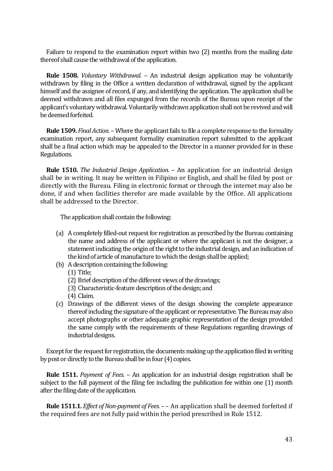Failure to respond to the examination report within two (2) months from the mailing date thereof shall cause the withdrawal of the application.

 **Rule 1508.** *Voluntary Withdrawal.* – An industrial design application may be voluntarily withdrawn by filing in the Office a written declaration of withdrawal, signed by the applicant himself and the assignee of record, if any, and identifying the application. The application shall be deemed withdrawn and all files expunged from the records of the Bureau upon receipt of the applicant's voluntary withdrawal. Voluntarily withdrawn application shall not be revived and will be deemed forfeited.

 **Rule 1509.** *Final Action.* – Where the applicant fails to file a complete response to the formality examination report, any subsequent formality examination report submitted to the applicant shall be a final action which may be appealed to the Director in a manner provided for in these Regulations.

 **Rule 1510.** *The Industrial Design Application.* – An application for an industrial design shall be in writing. It may be written in Filipino or English, and shall be filed by post or directly with the Bureau. Filing in electronic format or through the internet may also be done, if and when facilities therefor are made available by the Office. All applications shall be addressed to the Director.

The application shall contain the following:

- (a) A completely filled-out request for registration as prescribed by the Bureau containing the name and address of the applicant or where the applicant is not the designer, a statement indicating the origin of the right to the industrial design, and an indication of the kind of article of manufacture to which the design shall be applied;
- (b) A description containing the following:
	- (1) Title;
	- (2) Brief description of the different views of the drawings;
	- (3) Characteristic-feature description of the design; and
	- (4) Claim.
- (c) Drawings of the different views of the design showing the complete appearance thereof including the signature of the applicant or representative. The Bureau may also accept photographs or other adequate graphic representation of the design provided the same comply with the requirements of these Regulations regarding drawings of industrial designs.

 Except for the request for registration, the documents making up the application filed in writing by post or directly to the Bureau shall be in four (4) copies.

 **Rule 1511.** *Payment of Fees.* – An application for an industrial design registration shall be subject to the full payment of the filing fee including the publication fee within one (1) month after the filing date of the application.

 **Rule 1511.1.** *Effect of Non-payment of Fees.* – – An application shall be deemed forfeited if the required fees are not fully paid within the period prescribed in Rule 1512.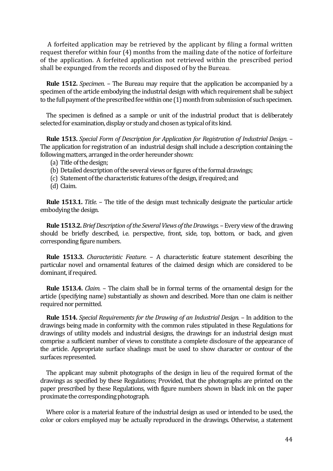A forfeited application may be retrieved by the applicant by filing a formal written request therefor within four (4) months from the mailing date of the notice of forfeiture of the application. A forfeited application not retrieved within the prescribed period shall be expunged from the records and disposed of by the Bureau.

 **Rule 1512.** *Specimen.* – The Bureau may require that the application be accompanied by a specimen of the article embodying the industrial design with which requirement shall be subject to the full payment of the prescribed fee within one (1) month from submission of such specimen.

 The specimen is defined as a sample or unit of the industrial product that is deliberately selected for examination, display or study and chosen as typical of its kind.

 **Rule 1513.** *Special Form of Description for Application for Registration of Industrial Design.* – The application for registration of an industrial design shall include a description containing the following matters, arranged in the order hereunder shown:

- (a) Title of the design;
- (b) Detailed description of the several views or figures of the formal drawings;
- (c) Statement of the characteristic features of the design, if required; and
- (d) Claim.

 **Rule 1513.1.** *Title.* – The title of the design must technically designate the particular article embodying the design.

**Rule 1513.2.** *Brief Description of the Several Views of the Drawings.* – Every view of the drawing should be briefly described, i.e. perspective, front, side, top, bottom, or back, and given corresponding figure numbers.

 **Rule 1513.3.** *Characteristic Feature.* – A characteristic feature statement describing the particular novel and ornamental features of the claimed design which are considered to be dominant, if required.

 **Rule 1513.4.** *Claim.* – The claim shall be in formal terms of the ornamental design for the article (specifying name) substantially as shown and described. More than one claim is neither required nor permitted.

 **Rule 1514.** *Special Requirements for the Drawing of an Industrial Design.* – In addition to the drawings being made in conformity with the common rules stipulated in these Regulations for drawings of utility models and industrial designs, the drawings for an industrial design must comprise a sufficient number of views to constitute a complete disclosure of the appearance of the article. Appropriate surface shadings must be used to show character or contour of the surfaces represented.

 The applicant may submit photographs of the design in lieu of the required format of the drawings as specified by these Regulations; Provided, that the photographs are printed on the paper prescribed by these Regulations, with figure numbers shown in black ink on the paper proximate the corresponding photograph.

 Where color is a material feature of the industrial design as used or intended to be used, the color or colors employed may be actually reproduced in the drawings. Otherwise, a statement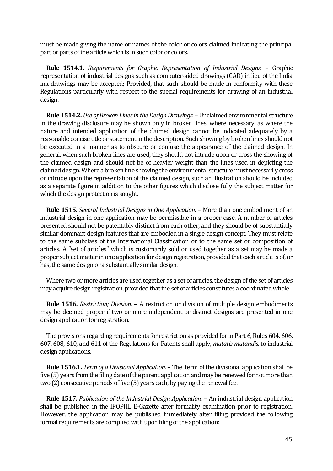must be made giving the name or names of the color or colors claimed indicating the principal part or parts of the article which is in such color or colors.

 **Rule 1514.1.** *Requirements for Graphic Representation of Industrial Designs.* – Graphic representation of industrial designs such as computer-aided drawings (CAD) in lieu of the India ink drawings may be accepted; Provided, that such should be made in conformity with these Regulations particularly with respect to the special requirements for drawing of an industrial design.

 **Rule 1514.2.** *Use of Broken Lines in the Design Drawings.* –Unclaimed environmental structure in the drawing disclosure may be shown only in broken lines, where necessary, as where the nature and intended application of the claimed design cannot be indicated adequately by a reasonable concise title or statement in the description. Such showing by broken lines should not be executed in a manner as to obscure or confuse the appearance of the claimed design. In general, when such broken lines are used, they should not intrude upon or cross the showing of the claimed design and should not be of heavier weight than the lines used in depicting the claimed design. Where a broken line showing the environmental structure must necessarily cross or intrude upon the representation of the claimed design, such an illustration should be included as a separate figure in addition to the other figures which disclose fully the subject matter for which the design protection is sought.

 **Rule 1515.** *Several Industrial Designs in One Application.* – More than one embodiment of an industrial design in one application may be permissible in a proper case. A number of articles presented should not be patentably distinct from each other, and they should be of substantially similar dominant design features that are embodied in a single design concept. They must relate to the same subclass of the International Classification or to the same set or composition of articles. A "set of articles" which is customarily sold or used together as a set may be made a proper subject matter in one application for design registration, provided that each article is of, or has, the same design or a substantially similar design.

 Where two or more articles are used together as a set of articles, the design of the set of articles may acquire design registration, provided that the set of articles constitutes a coordinated whole.

 **Rule 1516.** *Restriction; Division.* – A restriction or division of multiple design embodiments may be deemed proper if two or more independent or distinct designs are presented in one design application for registration.

 The provisions regarding requirements for restriction as provided for in Part 6, Rules 604, 606, 607, 608, 610, and 611 of the Regulations for Patents shall apply, *mutatis mutandis,* to industrial design applications.

 **Rule 1516.1.** *Term of a Divisional Application*. – The term of the divisional application shall be five (5) years from the filing date of the parent application and may be renewed for not more than two (2) consecutive periods of five (5) years each, by paying the renewal fee.

 **Rule 1517.** *Publication of the Industrial Design Application.* – An industrial design application shall be published in the IPOPHL E-Gazette after formality examination prior to registration. However, the application may be published immediately after filing provided the following formal requirements are complied with upon filing of the application: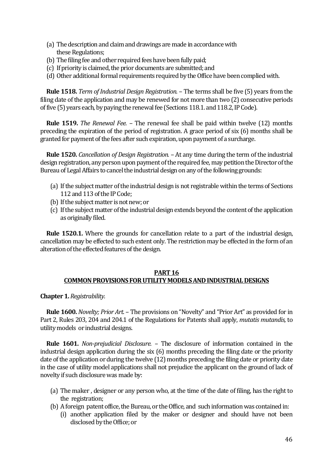- (a) The description and claim and drawings are made in accordance with these Regulations;
- (b) The filing fee and other required fees have been fully paid;
- (c) If priority is claimed, the prior documents are submitted; and
- (d) Other additional formal requirements required by the Office have been complied with.

 **Rule 1518.** *Term of Industrial Design Registration.* – The terms shall be five (5) years from the filing date of the application and may be renewed for not more than two (2) consecutive periods of five (5) years each, by paying the renewal fee (Sections 118.1. and 118.2, IP Code).

 **Rule 1519.** *The Renewal Fee.* – The renewal fee shall be paid within twelve (12) months preceding the expiration of the period of registration. A grace period of six (6) months shall be granted for payment of the fees after such expiration, upon payment of a surcharge.

 **Rule 1520.** *Cancellation of Design Registration.* – At any time during the term of the industrial design registration, any person upon payment of the required fee, may petition the Director of the Bureau of Legal Affairs to cancel the industrial design on any of the following grounds:

- (a) If the subject matter of the industrial design is not registrable within the terms of Sections 112 and 113 of the IP Code;
- (b) If the subject matter is not new; or
- (c) If the subject matter of the industrial design extends beyond the content of the application as originally filed.

 **Rule 1520.1.** Where the grounds for cancellation relate to a part of the industrial design, cancellation may be effected to such extent only. The restriction may be effected in the form of an alteration of the effected features of the design.

# **PART 16 COMMON PROVISIONS FOR UTILITY MODELS AND INDUSTRIAL DESIGNS**

**Chapter 1.** *Registrability.*

 **Rule 1600.** *Novelty; Prior Art.* – The provisions on "Novelty" and "Prior Art" as provided for in Part 2, Rules 203, 204 and 204.1 of the Regulations for Patents shall apply, *mutatis mutandis,* to utility models or industrial designs.

 **Rule 1601.** *Non-prejudicial Disclosure.* – The disclosure of information contained in the industrial design application during the six (6) months preceding the filing date or the priority date of the application or during the twelve (12) months preceding the filing date or priority date in the case of utility model applications shall not prejudice the applicant on the ground of lack of novelty if such disclosure was made by:

- (a) The maker , designer or any person who, at the time of the date of filing, has the right to the registration;
- (b) Aforeign patent office, the Bureau, or the Office, and such information was containedin:
	- (i) another application filed by the maker or designer and should have not been disclosed by the Office; or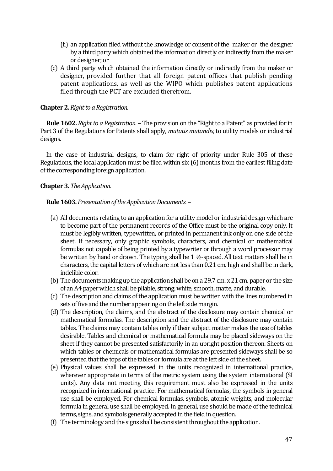- (ii) an application filed without the knowledge or consent of the maker or the designer by a third party which obtained the information directly or indirectly from the maker or designer; or
- (c) A third party which obtained the information directly or indirectly from the maker or designer, provided further that all foreign patent offices that publish pending patent applications, as well as the WIPO which publishes patent applications filed through the PCT are excluded therefrom.

# **Chapter 2.** *Right to a Registration.*

 **Rule 1602.** *Right to a Registration.* – The provision on the "Right to a Patent" as provided for in Part 3 of the Regulations for Patents shall apply, *mutatis mutandis,* to utility models or industrial designs.

 In the case of industrial designs, to claim for right of priority under Rule 305 of these Regulations, the local application must be filed within six (6) months from the earliest filing date of the corresponding foreign application.

# **Chapter 3.** *The Application.*

# **Rule 1603.** *Presentation of the Application Documents.* –

- (a) All documents relating to an application for a utility model or industrial design which are to become part of the permanent records of the Office must be the original copy only. It must be legibly written, typewritten, or printed in permanent ink only on one side of the sheet. If necessary, only graphic symbols, characters, and chemical or mathematical formulas not capable of being printed by a typewriter or through a word processor may be written by hand or drawn. The typing shall be 1 ½-spaced. All text matters shall be in characters, the capital letters of which are not less than 0.21 cm. high and shall be in dark, indelible color.
- (b) The documents making up the application shall be on a 29.7 cm. x 21 cm. paper or the size of an A4 paper which shall be pliable, strong, white, smooth, matte, and durable.
- (c) The description and claims of the application must be written with the lines numbered in sets of five and the number appearing on the left side margin.
- (d) The description, the claims, and the abstract of the disclosure may contain chemical or mathematical formulas. The description and the abstract of the disclosure may contain tables. The claims may contain tables only if their subject matter makes the use of tables desirable. Tables and chemical or mathematical formula may be placed sideways on the sheet if they cannot be presented satisfactorily in an upright position thereon. Sheets on which tables or chemicals or mathematical formulas are presented sideways shall be so presented that the tops of the tables or formula are at the left side of the sheet.
- (e) Physical values shall be expressed in the units recognized in international practice, wherever appropriate in terms of the metric system using the system international (SI units). Any data not meeting this requirement must also be expressed in the units recognized in international practice. For mathematical formulas, the symbols in general use shall be employed. For chemical formulas, symbols, atomic weights, and molecular formula in general use shall be employed. In general, use should be made of the technical terms, signs, and symbols generally accepted in the field in question.
- (f) The terminology and the signs shall be consistent throughout the application.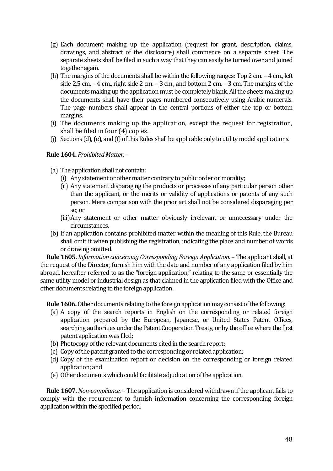- (g) Each document making up the application (request for grant, description, claims, drawings, and abstract of the disclosure) shall commence on a separate sheet. The separate sheets shall be filed in such a way that they can easily be turned over and joined together again.
- (h) The margins of the documents shall be within the following ranges: Top 2 cm. 4 cm., left side 2.5 cm. – 4 cm., right side 2 cm. – 3 cm., and bottom 2 cm. – 3 cm. The margins of the documents making up the application must be completely blank. All the sheets making up the documents shall have their pages numbered consecutively using Arabic numerals. The page numbers shall appear in the central portions of either the top or bottom margins.
- (i) The documents making up the application, except the request for registration, shall be filed in four (4) copies.
- (j) Sections (d), (e), and (f) of this Rules shall be applicable only to utility model applications.

# **Rule 1604.** *Prohibited Matter.* –

- (a) The application shall not contain:
	- (i) Any statement or other matter contrary to public order or morality;
	- (ii) Any statement disparaging the products or processes of any particular person other than the applicant, or the merits or validity of applications or patents of any such person. Mere comparison with the prior art shall not be considered disparaging per se; or
	- (iii)Any statement or other matter obviously irrelevant or unnecessary under the circumstances.
- (b) If an application contains prohibited matter within the meaning of this Rule, the Bureau shall omit it when publishing the registration, indicating the place and number of words or drawing omitted.

 **Rule 1605.** *Information concerning Corresponding Foreign Application.* – The applicant shall, at the request of the Director, furnish him with the date and number of any application filed by him abroad, hereafter referred to as the "foreign application," relating to the same or essentially the same utility model or industrial design as that claimed in the application filed with the Office and other documents relating to the foreign application.

 **Rule 1606.** Other documents relating to the foreign application may consist of the following:

- (a) A copy of the search reports in English on the corresponding or related foreign application prepared by the European, Japanese, or United States Patent Offices, searching authorities under the Patent Cooperation Treaty, or by the office where the first patent application was filed;
- (b) Photocopy of the relevant documents cited in the search report;
- (c) Copy of the patent granted to the corresponding or related application;
- (d) Copy of the examination report or decision on the corresponding or foreign related application; and
- (e) Other documents which could facilitate adjudication of the application.

 **Rule 1607.** *Non-compliance.* – The application is considered withdrawn if the applicant fails to comply with the requirement to furnish information concerning the corresponding foreign application within the specified period.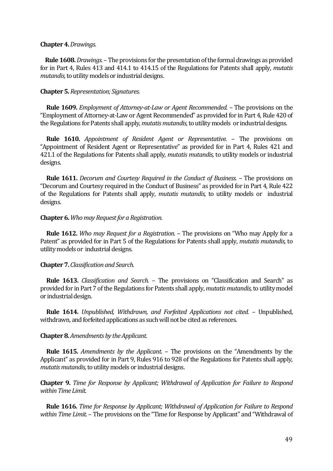#### **Chapter 4.** *Drawings.*

 **Rule 1608.** *Drawings.* –The provisions for the presentation of the formal drawings as provided for in Part 4, Rules 413 and 414.1 to 414.15 of the Regulations for Patents shall apply, *mutatis mutandis,* to utility models or industrial designs.

## **Chapter 5.** *Representation; Signatures.*

 **Rule 1609.** *Employment of Attorney-at-Law or Agent Recommended.* – The provisions on the "Employment of Attorney-at-Law or Agent Recommended" as provided for in Part 4, Rule 420 of the Regulations for Patents shall apply, *mutatis mutandis,* to utility models or industrial designs.

 **Rule 1610.** *Appointment of Resident Agent or Representative.* – The provisions on "Appointment of Resident Agent or Representative" as provided for in Part 4, Rules 421 and 421.1 of the Regulations for Patents shall apply, *mutatis mutandis,* to utility models or industrial designs.

 **Rule 1611.** *Decorum and Courtesy Required in the Conduct of Business.* – The provisions on "Decorum and Courtesy required in the Conduct of Business" as provided for in Part 4, Rule 422 of the Regulations for Patents shall apply, *mutatis mutandis,* to utility models or industrial designs.

#### **Chapter 6.** *Who may Request for a Registration.*

 **Rule 1612.** *Who may Request for a Registration.* – The provisions on "Who may Apply for a Patent" as provided for in Part 5 of the Regulations for Patents shall apply, *mutatis mutandis,* to utility models or industrial designs.

## **Chapter 7.** *Classification and Search.*

 **Rule 1613.** *Classification and Search.* – The provisions on "Classification and Search" as provided for in Part 7 of the Regulations for Patents shall apply, *mutatis mutandis,* to utility model or industrial design.

 **Rule 1614.** *Unpublished, Withdrawn, and Forfeited Applications not cited.* – Unpublished, withdrawn, and forfeited applications as such will not be cited as references.

#### **Chapter 8.** *Amendments by the Applicant.*

 **Rule 1615.** *Amendments by the Applicant.* – The provisions on the "Amendments by the Applicant" as provided for in Part 9, Rules 916 to 928 of the Regulations for Patents shall apply, *mutatis mutandis,* to utility models or industrial designs.

**Chapter 9.** *Time for Response by Applicant; Withdrawal of Application for Failure to Respond within Time Limit.*

 **Rule 1616.** *Time for Response by Applicant; Withdrawal of Application for Failure to Respond within Time Limit.* – The provisions on the "Time for Response by Applicant" and "Withdrawal of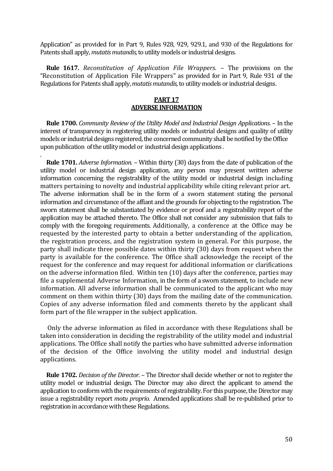Application" as provided for in Part 9, Rules 928, 929, 929.1, and 930 of the Regulations for Patents shall apply, *mutatis mutandis,* to utility models or industrial designs.

 **Rule 1617.** *Reconstitution of Application File Wrappers. –* The provisions on the "Reconstitution of Application File Wrappers" as provided for in Part 9, Rule 931 of the Regulations for Patents shall apply, *mutatis mutandis,* to utility models or industrial designs.

#### **PART 17 ADVERSE INFORMATION**

 **Rule 1700.** *Community Review of the Utility Model and Industrial Design Applications.* – In the interest of transparency in registering utility models or industrial designs and quality of utility models or industrial designs registered, the concerned community shall be notified by the Office upon publication of the utility model or industrial design applications .

.

 **Rule 1701.** *Adverse Information.* – Within thirty (30) days from the date of publication of the utility model or industrial design application, any person may present written adverse information concerning the registrability of the utility model or industrial design including matters pertaining to novelty and industrial applicability while citing relevant prior art. The adverse information shall be in the form of a sworn statement stating the personal information and circumstance of the affiant and the grounds for objecting to the registration. The sworn statement shall be substantiated by evidence or proof and a registrability report of the application may be attached thereto. The Office shall not consider any submission that fails to comply with the foregoing requirements. Additionally, a conference at the Office may be requested by the interested party to obtain a better understanding of the application, the registration process, and the registration system in general. For this purpose, the party shall indicate three possible dates within thirty (30) days from request when the party is available for the conference. The Office shall acknowledge the receipt of the request for the conference and may request for additional information or clarifications on the adverse information filed. Within ten (10) days after the conference, parties may file a supplemental Adverse Information, in the form of a sworn statement, to include new information. All adverse information shall be communicated to the applicant who may comment on them within thirty (30) days from the mailing date of the communication. Copies of any adverse information filed and comments thereto by the applicant shall form part of the file wrapper in the subject application.

 Only the adverse information as filed in accordance with these Regulations shall be taken into consideration in deciding the registrability of the utility model and industrial applications. The Office shall notify the parties who have submitted adverse information of the decision of the Office involving the utility model and industrial design applications.

 **Rule 1702.** *Decision of the Director.* – The Director shall decide whether or not to register the utility model or industrial design. The Director may also direct the applicant to amend the application to conform with the requirements of registrability. For this purpose, the Director may issue a registrability report *motu proprio.* Amended applications shall be re-published prior to registration in accordance with these Regulations.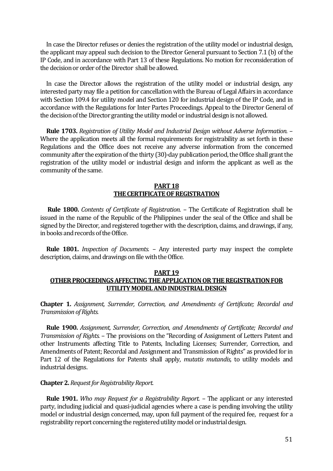In case the Director refuses or denies the registration of the utility model or industrial design, the applicant may appeal such decision to the Director General pursuant to Section 7.1 (b) of the IP Code, and in accordance with Part 13 of these Regulations. No motion for reconsideration of the decision or order of the Director shall be allowed.

 In case the Director allows the registration of the utility model or industrial design, any interested party may file a petition for cancellation with the Bureau of Legal Affairs in accordance with Section 109.4 for utility model and Section 120 for industrial design of the IP Code, and in accordance with the Regulations for Inter Partes Proceedings. Appeal to the Director General of the decision of the Director granting the utility model or industrial design is not allowed.

 **Rule 1703.** *Registration of Utility Model and Industrial Design without Adverse Information.* – Where the application meets all the formal requirements for registrability as set forth in these Regulations and the Office does not receive any adverse information from the concerned community after the expiration of the thirty (30)-day publication period, the Office shall grant the registration of the utility model or industrial design and inform the applicant as well as the community of the same.

## **PART 18 THE CERTIFICATE OF REGISTRATION**

 **Rule 1800.** *Contents of Certificate of Registration.* – The Certificate of Registration shall be issued in the name of the Republic of the Philippines under the seal of the Office and shall be signed by the Director, and registered together with the description, claims, and drawings, if any, in books and records of the Office.

 **Rule 1801.** *Inspection of Documents.* – Any interested party may inspect the complete description, claims, and drawings on file with the Office.

# **PART 19 OTHER PROCEEDINGS AFFECTING THE APPLICATION OR THE REGISTRATION FOR UTILITY MODEL AND INDUSTRIAL DESIGN**

**Chapter 1.** *Assignment, Surrender, Correction, and Amendments of Certificate; Recordal and Transmission of Rights.*

 **Rule 1900.** *Assignment, Surrender, Correction, and Amendments of Certificate; Recordal and Transmission of Rights.* – The provisions on the "Recording of Assignment of Letters Patent and other Instruments affecting Title to Patents, Including Licenses; Surrender, Correction, and Amendments of Patent; Recordal and Assignment and Transmission of Rights" as provided for in Part 12 of the Regulations for Patents shall apply, *mutatis mutandis,* to utility models and industrial designs.

#### **Chapter 2.** *Request for Registrability Report.*

 **Rule 1901.** *Who may Request for a Registrability Report.* – The applicant or any interested party, including judicial and quasi-judicial agencies where a case is pending involving the utility model or industrial design concerned, may, upon full payment of the required fee, request for a registrability report concerning the registered utility model or industrial design.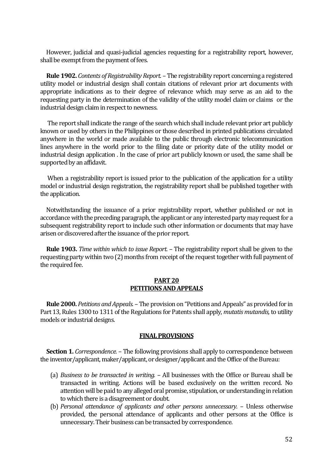However, judicial and quasi-judicial agencies requesting for a registrability report, however, shall be exempt from the payment of fees.

 **Rule 1902.** *Contents of Registrability Report.* – The registrability report concerning a registered utility model or industrial design shall contain citations of relevant prior art documents with appropriate indications as to their degree of relevance which may serve as an aid to the requesting party in the determination of the validity of the utility model claim or claims or the industrial design claim in respect to newness.

 The report shall indicate the range of the search which shall include relevant prior art publicly known or used by others in the Philippines or those described in printed publications circulated anywhere in the world or made available to the public through electronic telecommunication lines anywhere in the world prior to the filing date or priority date of the utility model or industrial design application . In the case of prior art publicly known or used, the same shall be supported by an affidavit.

When a registrability report is issued prior to the publication of the application for a utility model or industrial design registration, the registrability report shall be published together with the application.

 Notwithstanding the issuance of a prior registrability report, whether published or not in accordance with the preceding paragraph, the applicant or any interested party may request for a subsequent registrability report to include such other information or documents that may have arisen or discovered after the issuance of the prior report.

 **Rule 1903.** *Time within which to issue Report.* – The registrability report shall be given to the requesting party within two (2) months from receipt of the request together with full payment of the required fee.

## **PART 20 PETITIONS AND APPEALS**

 **Rule 2000.** *Petitions and Appeals.* – The provision on "Petitions and Appeals" as provided for in Part 13, Rules 1300 to 1311 of the Regulations for Patents shall apply, *mutatis mutandis,* to utility models or industrial designs.

#### **FINAL PROVISIONS**

**Section 1.** *Correspondence.* – The following provisions shall apply to correspondence between the inventor/applicant, maker/applicant, or designer/applicant and the Office of the Bureau:

- (a) *Business to be transacted in writing.* All businesses with the Office or Bureau shall be transacted in writing. Actions will be based exclusively on the written record. No attention will be paid to any alleged oral promise, stipulation, or understanding in relation to which there is a disagreement or doubt.
- (b) *Personal attendance of applicants and other persons unnecessary.* Unless otherwise provided, the personal attendance of applicants and other persons at the Office is unnecessary. Their business can be transacted by correspondence.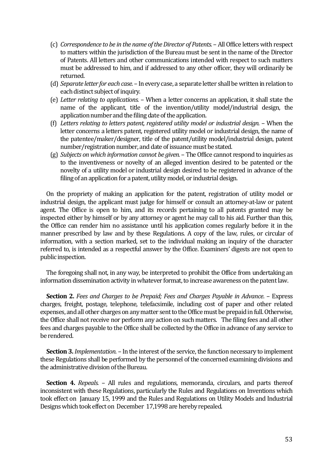- (c) *Correspondence to be in the name of the Director of Patents.*  All Office letters with respect to matters within the jurisdiction of the Bureau must be sent in the name of the Director of Patents. All letters and other communications intended with respect to such matters must be addressed to him, and if addressed to any other officer, they will ordinarily be returned.
- (d) *Separate letter for each case.*  In every case, a separate letter shall be written in relation to each distinct subject of inquiry.
- (e) *Letter relating to applications.*  When a letter concerns an application, it shall state the name of the applicant, title of the invention/utility model/industrial design, the application number and the filing date of the application.
- (f) *Letters relating to letters patent, registered utility model or industrial design.*  When the letter concerns a letters patent, registered utility model or industrial design, the name of the patentee/maker/designer, title of the patent/utility model/industrial design, patent number/registration number, and date of issuance must be stated.
- (g) *Subjects on which information cannot be given.*  The Office cannot respond to inquiries as to the inventiveness or novelty of an alleged invention desired to be patented or the novelty of a utility model or industrial design desired to be registered in advance of the filing of an application for a patent, utility model, or industrial design.

On the propriety of making an application for the patent, registration of utility model or industrial design, the applicant must judge for himself or consult an attorney-at-law or patent agent. The Office is open to him, and its records pertaining to all patents granted may be inspected either by himself or by any attorney or agent he may call to his aid. Further than this, the Office can render him no assistance until his application comes regularly before it in the manner prescribed by law and by these Regulations. A copy of the law, rules, or circular of information, with a section marked, set to the individual making an inquiry of the character referred to, is intended as a respectful answer by the Office. Examiners' digests are not open to public inspection.

 The foregoing shall not, in any way, be interpreted to prohibit the Office from undertaking an information dissemination activity in whatever format, to increase awareness on the patent law.

 **Section 2.** *Fees and Charges to be Prepaid; Fees and Charges Payable in Advance.* – Express charges, freight, postage, telephone, telefacsimile, including cost of paper and other related expenses, and all other charges on any matter sent to the Office must be prepaid in full. Otherwise, the Office shall not receive nor perform any action on such matters. The filing fees and all other fees and charges payable to the Office shall be collected by the Office in advance of any service to be rendered.

 **Section 3.** *Implementation.* – In the interest of the service, the function necessary to implement these Regulations shall be performed by the personnel of the concerned examining divisions and the administrative division of the Bureau.

 **Section 4.** *Repeals.* – All rules and regulations, memoranda, circulars, and parts thereof inconsistent with these Regulations, particularly the Rules and Regulations on Inventions which took effect on January 15, 1999 and the Rules and Regulations on Utility Models and Industrial Designs which took effect on December 17,1998 are hereby repealed.